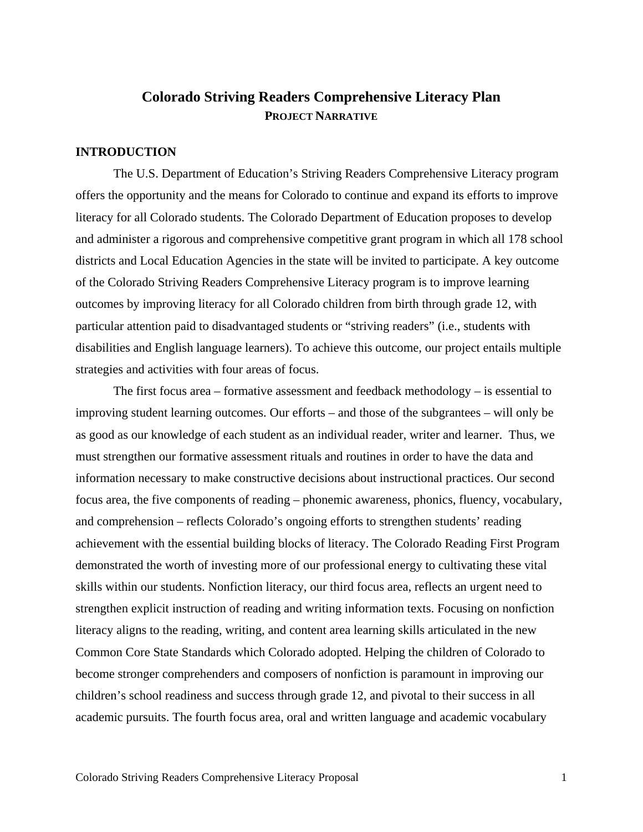# **Colorado Striving Readers Comprehensive Literacy Plan PROJECT NARRATIVE**

## **INTRODUCTION**

 The U.S. Department of Education's Striving Readers Comprehensive Literacy program offers the opportunity and the means for Colorado to continue and expand its efforts to improve literacy for all Colorado students. The Colorado Department of Education proposes to develop and administer a rigorous and comprehensive competitive grant program in which all 178 school districts and Local Education Agencies in the state will be invited to participate. A key outcome of the Colorado Striving Readers Comprehensive Literacy program is to improve learning outcomes by improving literacy for all Colorado children from birth through grade 12, with particular attention paid to disadvantaged students or "striving readers" (i.e., students with disabilities and English language learners). To achieve this outcome, our project entails multiple strategies and activities with four areas of focus.

 The first focus area – formative assessment and feedback methodology – is essential to improving student learning outcomes. Our efforts – and those of the subgrantees – will only be as good as our knowledge of each student as an individual reader, writer and learner. Thus, we must strengthen our formative assessment rituals and routines in order to have the data and information necessary to make constructive decisions about instructional practices. Our second focus area, the five components of reading – phonemic awareness, phonics, fluency, vocabulary, and comprehension – reflects Colorado's ongoing efforts to strengthen students' reading achievement with the essential building blocks of literacy. The Colorado Reading First Program demonstrated the worth of investing more of our professional energy to cultivating these vital skills within our students. Nonfiction literacy, our third focus area, reflects an urgent need to strengthen explicit instruction of reading and writing information texts. Focusing on nonfiction literacy aligns to the reading, writing, and content area learning skills articulated in the new Common Core State Standards which Colorado adopted. Helping the children of Colorado to become stronger comprehenders and composers of nonfiction is paramount in improving our children's school readiness and success through grade 12, and pivotal to their success in all academic pursuits. The fourth focus area, oral and written language and academic vocabulary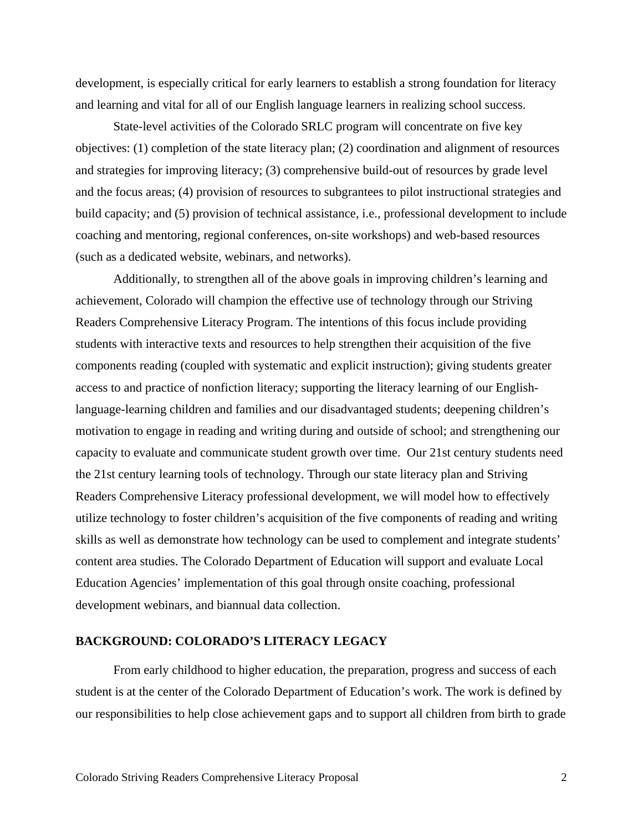development, is especially critical for early learners to establish a strong foundation for literacy and learning and vital for all of our English language learners in realizing school success.

 State-level activities of the Colorado SRLC program will concentrate on five key objectives: (1) completion of the state literacy plan; (2) coordination and alignment of resources and strategies for improving literacy; (3) comprehensive build-out of resources by grade level and the focus areas; (4) provision of resources to subgrantees to pilot instructional strategies and build capacity; and (5) provision of technical assistance, i.e., professional development to include coaching and mentoring, regional conferences, on-site workshops) and web-based resources (such as a dedicated website, webinars, and networks).

 Additionally, to strengthen all of the above goals in improving children's learning and achievement, Colorado will champion the effective use of technology through our Striving Readers Comprehensive Literacy Program. The intentions of this focus include providing students with interactive texts and resources to help strengthen their acquisition of the five components reading (coupled with systematic and explicit instruction); giving students greater access to and practice of nonfiction literacy; supporting the literacy learning of our Englishlanguage-learning children and families and our disadvantaged students; deepening children's motivation to engage in reading and writing during and outside of school; and strengthening our capacity to evaluate and communicate student growth over time. Our 21st century students need the 21st century learning tools of technology. Through our state literacy plan and Striving Readers Comprehensive Literacy professional development, we will model how to effectively utilize technology to foster children's acquisition of the five components of reading and writing skills as well as demonstrate how technology can be used to complement and integrate students' content area studies. The Colorado Department of Education will support and evaluate Local Education Agencies' implementation of this goal through onsite coaching, professional development webinars, and biannual data collection.

## **BACKGROUND: COLORADO'S LITERACY LEGACY**

 From early childhood to higher education, the preparation, progress and success of each student is at the center of the Colorado Department of Education's work. The work is defined by our responsibilities to help close achievement gaps and to support all children from birth to grade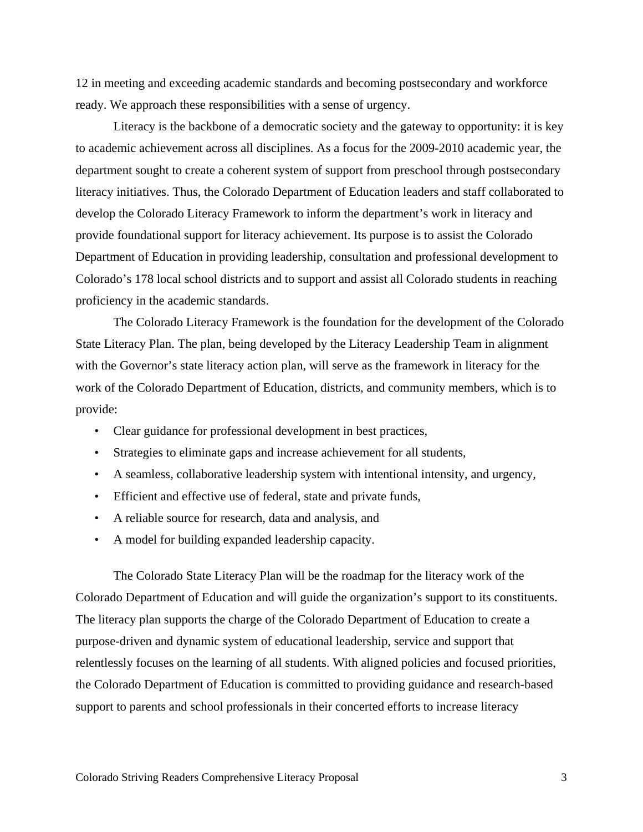12 in meeting and exceeding academic standards and becoming postsecondary and workforce ready. We approach these responsibilities with a sense of urgency.

 Literacy is the backbone of a democratic society and the gateway to opportunity: it is key to academic achievement across all disciplines. As a focus for the 2009-2010 academic year, the department sought to create a coherent system of support from preschool through postsecondary literacy initiatives. Thus, the Colorado Department of Education leaders and staff collaborated to develop the Colorado Literacy Framework to inform the department's work in literacy and provide foundational support for literacy achievement. Its purpose is to assist the Colorado Department of Education in providing leadership, consultation and professional development to Colorado's 178 local school districts and to support and assist all Colorado students in reaching proficiency in the academic standards.

 The Colorado Literacy Framework is the foundation for the development of the Colorado State Literacy Plan. The plan, being developed by the Literacy Leadership Team in alignment with the Governor's state literacy action plan, will serve as the framework in literacy for the work of the Colorado Department of Education, districts, and community members, which is to provide:

- Clear guidance for professional development in best practices,
- Strategies to eliminate gaps and increase achievement for all students,
- A seamless, collaborative leadership system with intentional intensity, and urgency,
- Efficient and effective use of federal, state and private funds,
- A reliable source for research, data and analysis, and
- A model for building expanded leadership capacity.

 The Colorado State Literacy Plan will be the roadmap for the literacy work of the Colorado Department of Education and will guide the organization's support to its constituents. The literacy plan supports the charge of the Colorado Department of Education to create a purpose-driven and dynamic system of educational leadership, service and support that relentlessly focuses on the learning of all students. With aligned policies and focused priorities, the Colorado Department of Education is committed to providing guidance and research-based support to parents and school professionals in their concerted efforts to increase literacy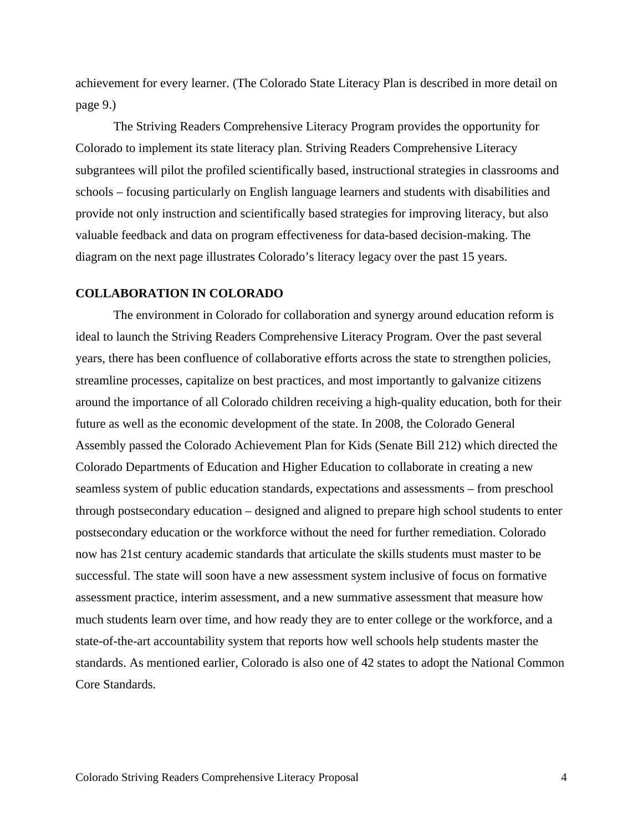achievement for every learner. (The Colorado State Literacy Plan is described in more detail on page 9.)

 The Striving Readers Comprehensive Literacy Program provides the opportunity for Colorado to implement its state literacy plan. Striving Readers Comprehensive Literacy subgrantees will pilot the profiled scientifically based, instructional strategies in classrooms and schools – focusing particularly on English language learners and students with disabilities and provide not only instruction and scientifically based strategies for improving literacy, but also valuable feedback and data on program effectiveness for data-based decision-making. The diagram on the next page illustrates Colorado's literacy legacy over the past 15 years.

#### **COLLABORATION IN COLORADO**

 The environment in Colorado for collaboration and synergy around education reform is ideal to launch the Striving Readers Comprehensive Literacy Program. Over the past several years, there has been confluence of collaborative efforts across the state to strengthen policies, streamline processes, capitalize on best practices, and most importantly to galvanize citizens around the importance of all Colorado children receiving a high-quality education, both for their future as well as the economic development of the state. In 2008, the Colorado General Assembly passed the Colorado Achievement Plan for Kids (Senate Bill 212) which directed the Colorado Departments of Education and Higher Education to collaborate in creating a new seamless system of public education standards, expectations and assessments – from preschool through postsecondary education – designed and aligned to prepare high school students to enter postsecondary education or the workforce without the need for further remediation. Colorado now has 21st century academic standards that articulate the skills students must master to be successful. The state will soon have a new assessment system inclusive of focus on formative assessment practice, interim assessment, and a new summative assessment that measure how much students learn over time, and how ready they are to enter college or the workforce, and a state-of-the-art accountability system that reports how well schools help students master the standards. As mentioned earlier, Colorado is also one of 42 states to adopt the National Common Core Standards.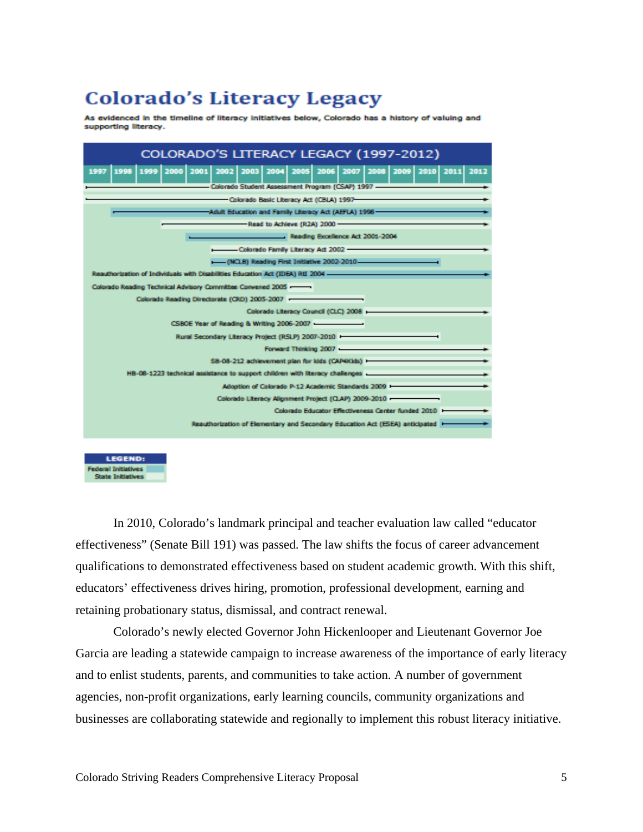# **Colorado's Literacy Legacy**

As evidenced in the timeline of literacy initiatives below, Colorado has a history of valuing and supporting literacy.

| COLORADO'S LITERACY LEGACY (1997-2012)                                                                                                                                |
|-----------------------------------------------------------------------------------------------------------------------------------------------------------------------|
| 1997   1998   1999   2000   2001   2002   2003   2004   2005   2006   2007   2008   2009   2010   2011   2012<br>- Colorado Student Assessment Program (CSAP) 1997 -- |
| - Colorado Basic Literacy Act (CBLA) 1997-                                                                                                                            |
| -Adult Education and Family Literacy Act (AEFLA) 1998-                                                                                                                |
| Read to Achieve (R2A) 2000                                                                                                                                            |
| Reading Excellence Act 2001-2004                                                                                                                                      |
| Colorado Family Literacy Act 2002 --                                                                                                                                  |
| -(NCLB) Reading First Initiative 2002-2010-                                                                                                                           |
| Reauthorization of Individuals with Disabilities Education Act (IDEA) RtI 2004 -------------------------------                                                        |
| Colorado Reading Technical Advisory Committee Convened 2005 ---                                                                                                       |
| Colorado Reading Directorate (CRD) 2005-2007 --                                                                                                                       |
| Colorado Literacy Council (CLC) 2008 --------                                                                                                                         |
| CSBOE Year of Reading & Writing 2006-2007                                                                                                                             |
| Rural Secondary Literacy Project (RSLP) 2007-2010                                                                                                                     |
| Forward Thinking 2007                                                                                                                                                 |
| SB-08-212 achievement plan for kids (CAP4Kids)                                                                                                                        |
| HB-08-1223 technical assistance to support children with literacy challenges                                                                                          |
| Adoption of Colorado P-12 Academic Standards 2009 -----                                                                                                               |
|                                                                                                                                                                       |
| Colorado Educator Effectiveness Center funded 2010                                                                                                                    |
| Reauthorization of Elementary and Secondary Education Act (ESEA) anticipated (Esecond                                                                                 |

 In 2010, Colorado's landmark principal and teacher evaluation law called "educator effectiveness" (Senate Bill 191) was passed. The law shifts the focus of career advancement qualifications to demonstrated effectiveness based on student academic growth. With this shift, educators' effectiveness drives hiring, promotion, professional development, earning and retaining probationary status, dismissal, and contract renewal.

 Colorado's newly elected Governor John Hickenlooper and Lieutenant Governor Joe Garcia are leading a statewide campaign to increase awareness of the importance of early literacy and to enlist students, parents, and communities to take action. A number of government agencies, non-profit organizations, early learning councils, community organizations and businesses are collaborating statewide and regionally to implement this robust literacy initiative.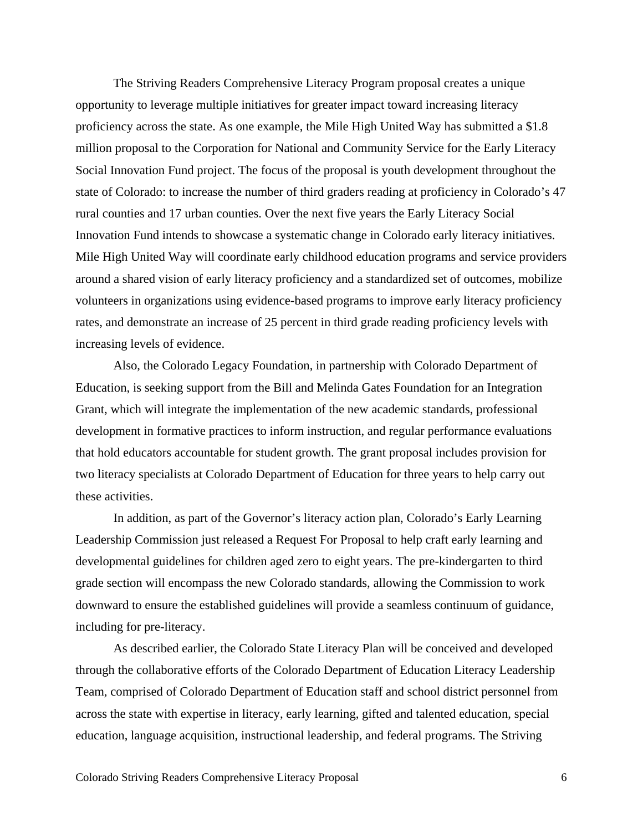The Striving Readers Comprehensive Literacy Program proposal creates a unique opportunity to leverage multiple initiatives for greater impact toward increasing literacy proficiency across the state. As one example, the Mile High United Way has submitted a \$1.8 million proposal to the Corporation for National and Community Service for the Early Literacy Social Innovation Fund project. The focus of the proposal is youth development throughout the state of Colorado: to increase the number of third graders reading at proficiency in Colorado's 47 rural counties and 17 urban counties. Over the next five years the Early Literacy Social Innovation Fund intends to showcase a systematic change in Colorado early literacy initiatives. Mile High United Way will coordinate early childhood education programs and service providers around a shared vision of early literacy proficiency and a standardized set of outcomes, mobilize volunteers in organizations using evidence-based programs to improve early literacy proficiency rates, and demonstrate an increase of 25 percent in third grade reading proficiency levels with increasing levels of evidence.

 Also, the Colorado Legacy Foundation, in partnership with Colorado Department of Education, is seeking support from the Bill and Melinda Gates Foundation for an Integration Grant, which will integrate the implementation of the new academic standards, professional development in formative practices to inform instruction, and regular performance evaluations that hold educators accountable for student growth. The grant proposal includes provision for two literacy specialists at Colorado Department of Education for three years to help carry out these activities.

 In addition, as part of the Governor's literacy action plan, Colorado's Early Learning Leadership Commission just released a Request For Proposal to help craft early learning and developmental guidelines for children aged zero to eight years. The pre-kindergarten to third grade section will encompass the new Colorado standards, allowing the Commission to work downward to ensure the established guidelines will provide a seamless continuum of guidance, including for pre-literacy.

 As described earlier, the Colorado State Literacy Plan will be conceived and developed through the collaborative efforts of the Colorado Department of Education Literacy Leadership Team, comprised of Colorado Department of Education staff and school district personnel from across the state with expertise in literacy, early learning, gifted and talented education, special education, language acquisition, instructional leadership, and federal programs. The Striving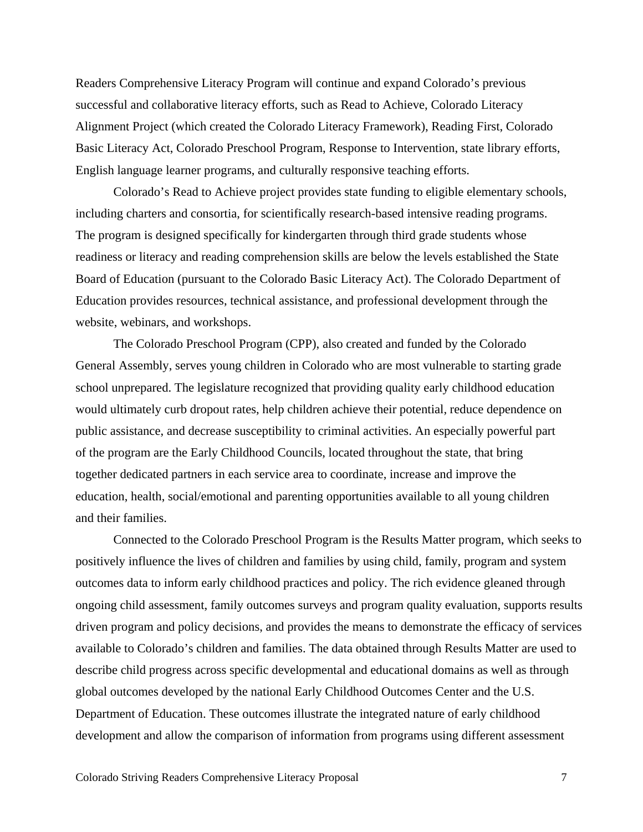Readers Comprehensive Literacy Program will continue and expand Colorado's previous successful and collaborative literacy efforts, such as Read to Achieve, Colorado Literacy Alignment Project (which created the Colorado Literacy Framework), Reading First, Colorado Basic Literacy Act, Colorado Preschool Program, Response to Intervention, state library efforts, English language learner programs, and culturally responsive teaching efforts.

 Colorado's Read to Achieve project provides state funding to eligible elementary schools, including charters and consortia, for scientifically research-based intensive reading programs. The program is designed specifically for kindergarten through third grade students whose readiness or literacy and reading comprehension skills are below the levels established the State Board of Education (pursuant to the Colorado Basic Literacy Act). The Colorado Department of Education provides resources, technical assistance, and professional development through the website, webinars, and workshops.

 The Colorado Preschool Program (CPP), also created and funded by the Colorado General Assembly, serves young children in Colorado who are most vulnerable to starting grade school unprepared. The legislature recognized that providing quality early childhood education would ultimately curb dropout rates, help children achieve their potential, reduce dependence on public assistance, and decrease susceptibility to criminal activities. An especially powerful part of the program are the Early Childhood Councils, located throughout the state, that bring together dedicated partners in each service area to coordinate, increase and improve the education, health, social/emotional and parenting opportunities available to all young children and their families.

 Connected to the Colorado Preschool Program is the Results Matter program, which seeks to positively influence the lives of children and families by using child, family, program and system outcomes data to inform early childhood practices and policy. The rich evidence gleaned through ongoing child assessment, family outcomes surveys and program quality evaluation, supports results driven program and policy decisions, and provides the means to demonstrate the efficacy of services available to Colorado's children and families. The data obtained through Results Matter are used to describe child progress across specific developmental and educational domains as well as through global outcomes developed by the national Early Childhood Outcomes Center and the U.S. Department of Education. These outcomes illustrate the integrated nature of early childhood development and allow the comparison of information from programs using different assessment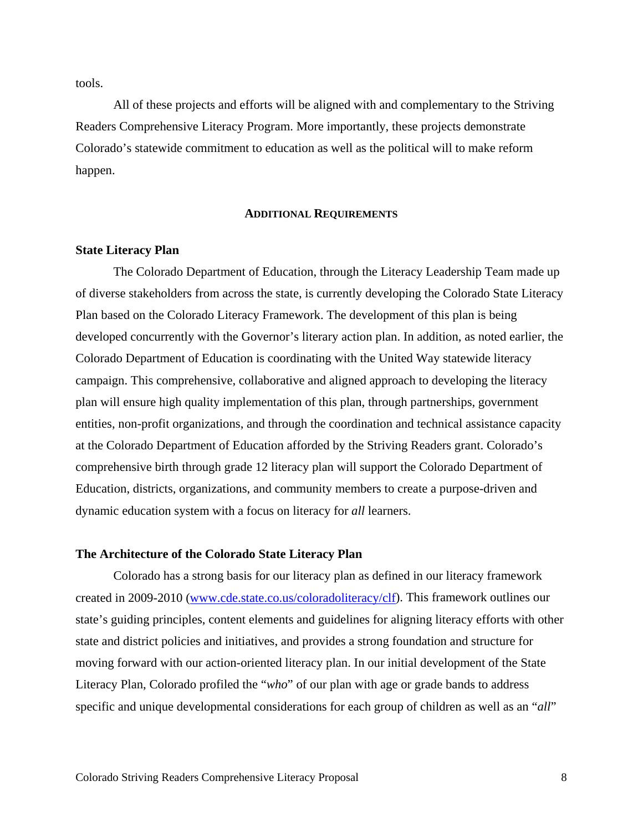tools.

 All of these projects and efforts will be aligned with and complementary to the Striving Readers Comprehensive Literacy Program. More importantly, these projects demonstrate Colorado's statewide commitment to education as well as the political will to make reform happen.

#### **ADDITIONAL REQUIREMENTS**

#### **State Literacy Plan**

 The Colorado Department of Education, through the Literacy Leadership Team made up of diverse stakeholders from across the state, is currently developing the Colorado State Literacy Plan based on the Colorado Literacy Framework. The development of this plan is being developed concurrently with the Governor's literary action plan. In addition, as noted earlier, the Colorado Department of Education is coordinating with the United Way statewide literacy campaign. This comprehensive, collaborative and aligned approach to developing the literacy plan will ensure high quality implementation of this plan, through partnerships, government entities, non-profit organizations, and through the coordination and technical assistance capacity at the Colorado Department of Education afforded by the Striving Readers grant. Colorado's comprehensive birth through grade 12 literacy plan will support the Colorado Department of Education, districts, organizations, and community members to create a purpose-driven and dynamic education system with a focus on literacy for *all* learners.

#### **The Architecture of the Colorado State Literacy Plan**

 Colorado has a strong basis for our literacy plan as defined in our literacy framework created in 2009-2010 (www.cde.state.co.us/coloradoliteracy/clf). This framework outlines our state's guiding principles, content elements and guidelines for aligning literacy efforts with other state and district policies and initiatives, and provides a strong foundation and structure for moving forward with our action-oriented literacy plan. In our initial development of the State Literacy Plan, Colorado profiled the "*who*" of our plan with age or grade bands to address specific and unique developmental considerations for each group of children as well as an "*all*"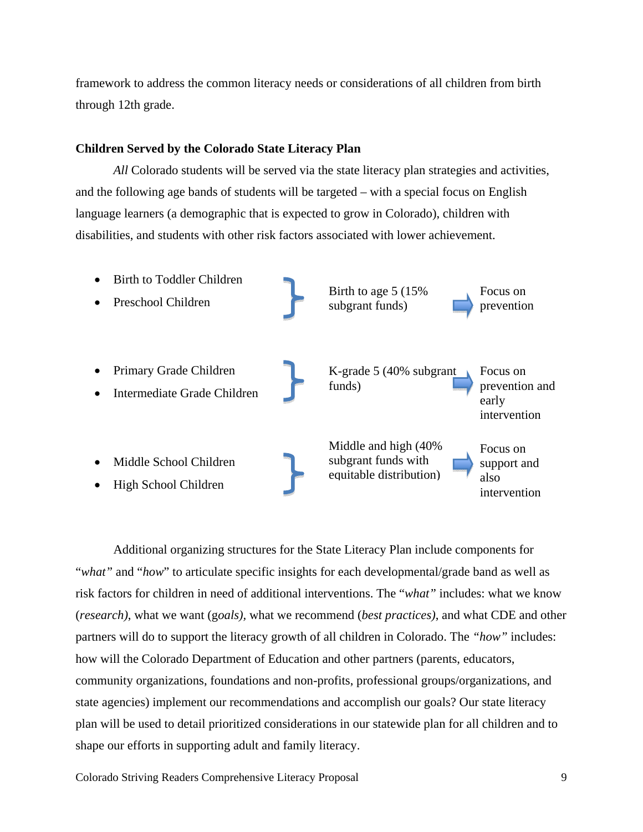framework to address the common literacy needs or considerations of all children from birth through 12th grade.

#### **Children Served by the Colorado State Literacy Plan**

 *All* Colorado students will be served via the state literacy plan strategies and activities, and the following age bands of students will be targeted – with a special focus on English language learners (a demographic that is expected to grow in Colorado), children with disabilities, and students with other risk factors associated with lower achievement.



 Additional organizing structures for the State Literacy Plan include components for "*what"* and "*how*" to articulate specific insights for each developmental/grade band as well as risk factors for children in need of additional interventions. The "*what"* includes: what we know (*research)*, what we want (g*oals),* what we recommend (*best practices)*, and what CDE and other partners will do to support the literacy growth of all children in Colorado. The *"how"* includes: how will the Colorado Department of Education and other partners (parents, educators, community organizations, foundations and non-profits, professional groups/organizations, and state agencies) implement our recommendations and accomplish our goals? Our state literacy plan will be used to detail prioritized considerations in our statewide plan for all children and to shape our efforts in supporting adult and family literacy.

Colorado Striving Readers Comprehensive Literacy Proposal 9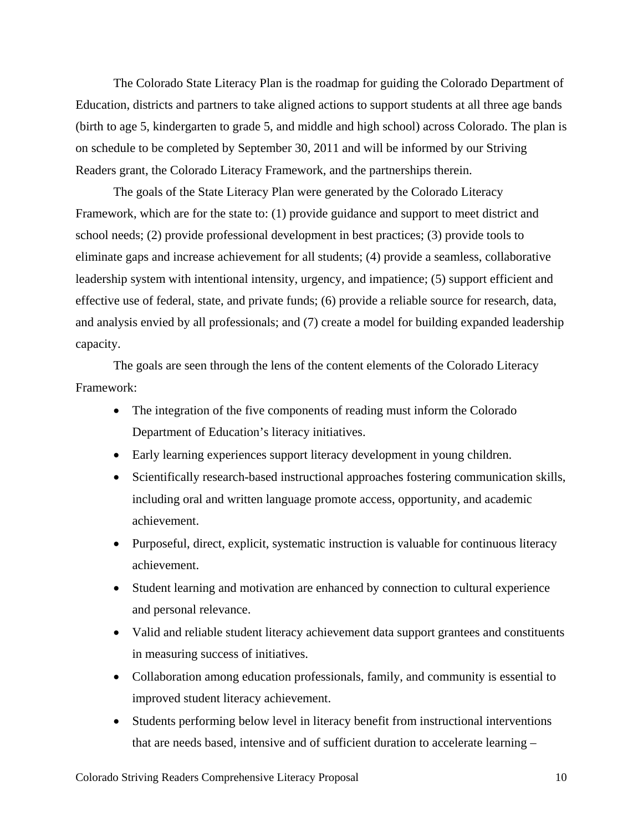The Colorado State Literacy Plan is the roadmap for guiding the Colorado Department of Education, districts and partners to take aligned actions to support students at all three age bands (birth to age 5, kindergarten to grade 5, and middle and high school) across Colorado. The plan is on schedule to be completed by September 30, 2011 and will be informed by our Striving Readers grant, the Colorado Literacy Framework, and the partnerships therein.

 The goals of the State Literacy Plan were generated by the Colorado Literacy Framework, which are for the state to: (1) provide guidance and support to meet district and school needs; (2) provide professional development in best practices; (3) provide tools to eliminate gaps and increase achievement for all students; (4) provide a seamless, collaborative leadership system with intentional intensity, urgency, and impatience; (5) support efficient and effective use of federal, state, and private funds; (6) provide a reliable source for research, data, and analysis envied by all professionals; and (7) create a model for building expanded leadership capacity.

 The goals are seen through the lens of the content elements of the Colorado Literacy Framework:

- The integration of the five components of reading must inform the Colorado Department of Education's literacy initiatives.
- Early learning experiences support literacy development in young children.
- Scientifically research-based instructional approaches fostering communication skills, including oral and written language promote access, opportunity, and academic achievement.
- Purposeful, direct, explicit, systematic instruction is valuable for continuous literacy achievement.
- Student learning and motivation are enhanced by connection to cultural experience and personal relevance.
- Valid and reliable student literacy achievement data support grantees and constituents in measuring success of initiatives.
- Collaboration among education professionals, family, and community is essential to improved student literacy achievement.
- Students performing below level in literacy benefit from instructional interventions that are needs based, intensive and of sufficient duration to accelerate learning –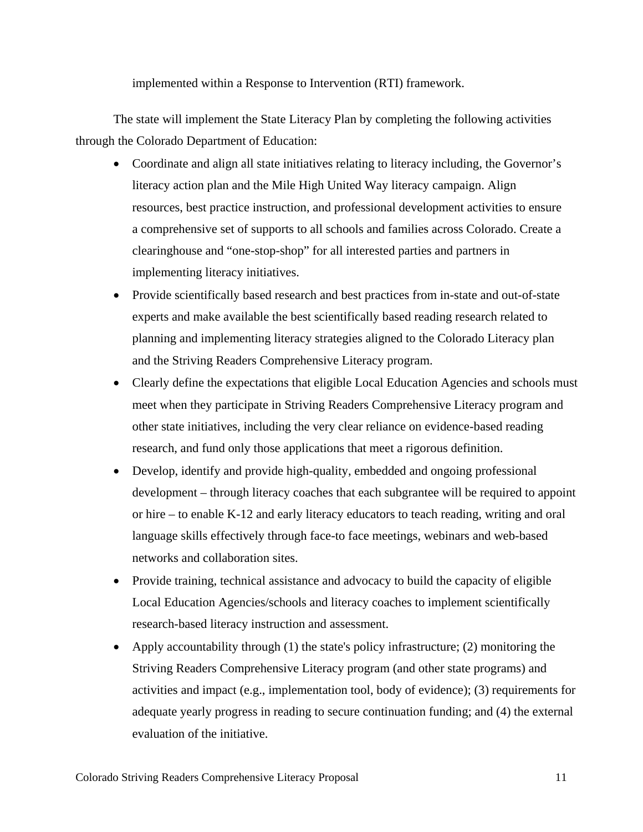implemented within a Response to Intervention (RTI) framework.

The state will implement the State Literacy Plan by completing the following activities through the Colorado Department of Education:

- Coordinate and align all state initiatives relating to literacy including, the Governor's literacy action plan and the Mile High United Way literacy campaign. Align resources, best practice instruction, and professional development activities to ensure a comprehensive set of supports to all schools and families across Colorado. Create a clearinghouse and "one-stop-shop" for all interested parties and partners in implementing literacy initiatives.
- Provide scientifically based research and best practices from in-state and out-of-state experts and make available the best scientifically based reading research related to planning and implementing literacy strategies aligned to the Colorado Literacy plan and the Striving Readers Comprehensive Literacy program.
- Clearly define the expectations that eligible Local Education Agencies and schools must meet when they participate in Striving Readers Comprehensive Literacy program and other state initiatives, including the very clear reliance on evidence-based reading research, and fund only those applications that meet a rigorous definition.
- Develop, identify and provide high-quality, embedded and ongoing professional development – through literacy coaches that each subgrantee will be required to appoint or hire – to enable K-12 and early literacy educators to teach reading, writing and oral language skills effectively through face-to face meetings, webinars and web-based networks and collaboration sites.
- Provide training, technical assistance and advocacy to build the capacity of eligible Local Education Agencies/schools and literacy coaches to implement scientifically research-based literacy instruction and assessment.
- Apply accountability through (1) the state's policy infrastructure; (2) monitoring the Striving Readers Comprehensive Literacy program (and other state programs) and activities and impact (e.g., implementation tool, body of evidence); (3) requirements for adequate yearly progress in reading to secure continuation funding; and (4) the external evaluation of the initiative.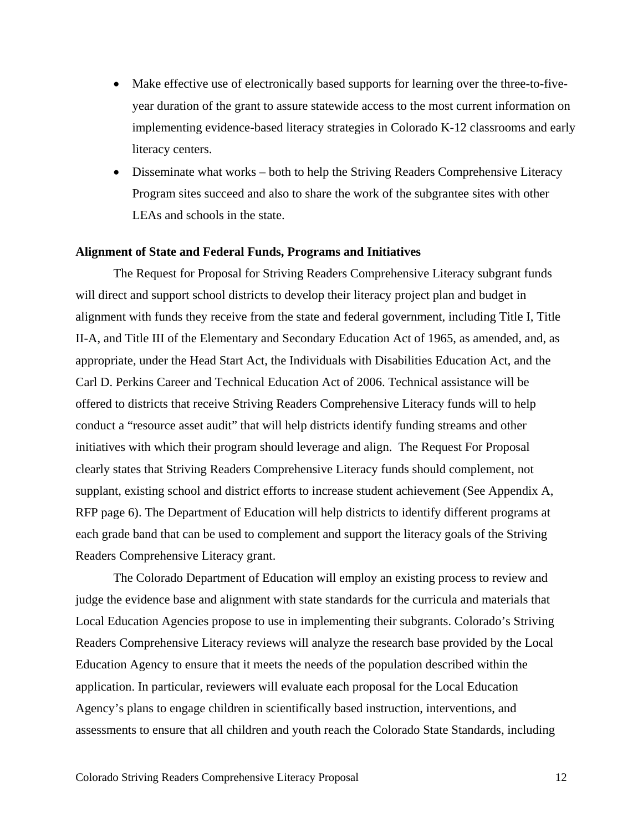- Make effective use of electronically based supports for learning over the three-to-fiveyear duration of the grant to assure statewide access to the most current information on implementing evidence-based literacy strategies in Colorado K-12 classrooms and early literacy centers.
- Disseminate what works both to help the Striving Readers Comprehensive Literacy Program sites succeed and also to share the work of the subgrantee sites with other LEAs and schools in the state.

#### **Alignment of State and Federal Funds, Programs and Initiatives**

 The Request for Proposal for Striving Readers Comprehensive Literacy subgrant funds will direct and support school districts to develop their literacy project plan and budget in alignment with funds they receive from the state and federal government, including Title I, Title II-A, and Title III of the Elementary and Secondary Education Act of 1965, as amended, and, as appropriate, under the Head Start Act, the Individuals with Disabilities Education Act, and the Carl D. Perkins Career and Technical Education Act of 2006. Technical assistance will be offered to districts that receive Striving Readers Comprehensive Literacy funds will to help conduct a "resource asset audit" that will help districts identify funding streams and other initiatives with which their program should leverage and align. The Request For Proposal clearly states that Striving Readers Comprehensive Literacy funds should complement, not supplant, existing school and district efforts to increase student achievement (See Appendix A, RFP page 6). The Department of Education will help districts to identify different programs at each grade band that can be used to complement and support the literacy goals of the Striving Readers Comprehensive Literacy grant.

 The Colorado Department of Education will employ an existing process to review and judge the evidence base and alignment with state standards for the curricula and materials that Local Education Agencies propose to use in implementing their subgrants. Colorado's Striving Readers Comprehensive Literacy reviews will analyze the research base provided by the Local Education Agency to ensure that it meets the needs of the population described within the application. In particular, reviewers will evaluate each proposal for the Local Education Agency's plans to engage children in scientifically based instruction, interventions, and assessments to ensure that all children and youth reach the Colorado State Standards, including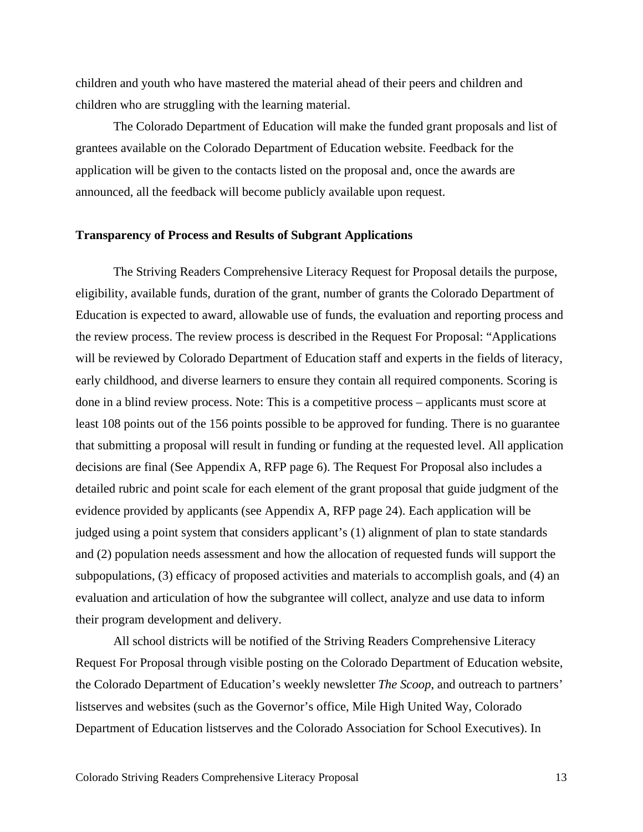children and youth who have mastered the material ahead of their peers and children and children who are struggling with the learning material.

 The Colorado Department of Education will make the funded grant proposals and list of grantees available on the Colorado Department of Education website. Feedback for the application will be given to the contacts listed on the proposal and, once the awards are announced, all the feedback will become publicly available upon request.

#### **Transparency of Process and Results of Subgrant Applications**

The Striving Readers Comprehensive Literacy Request for Proposal details the purpose, eligibility, available funds, duration of the grant, number of grants the Colorado Department of Education is expected to award, allowable use of funds, the evaluation and reporting process and the review process. The review process is described in the Request For Proposal: "Applications will be reviewed by Colorado Department of Education staff and experts in the fields of literacy, early childhood, and diverse learners to ensure they contain all required components. Scoring is done in a blind review process. Note: This is a competitive process – applicants must score at least 108 points out of the 156 points possible to be approved for funding. There is no guarantee that submitting a proposal will result in funding or funding at the requested level. All application decisions are final (See Appendix A, RFP page 6). The Request For Proposal also includes a detailed rubric and point scale for each element of the grant proposal that guide judgment of the evidence provided by applicants (see Appendix A, RFP page 24). Each application will be judged using a point system that considers applicant's (1) alignment of plan to state standards and (2) population needs assessment and how the allocation of requested funds will support the subpopulations, (3) efficacy of proposed activities and materials to accomplish goals, and (4) an evaluation and articulation of how the subgrantee will collect, analyze and use data to inform their program development and delivery.

All school districts will be notified of the Striving Readers Comprehensive Literacy Request For Proposal through visible posting on the Colorado Department of Education website, the Colorado Department of Education's weekly newsletter *The Scoop*, and outreach to partners' listserves and websites (such as the Governor's office, Mile High United Way, Colorado Department of Education listserves and the Colorado Association for School Executives). In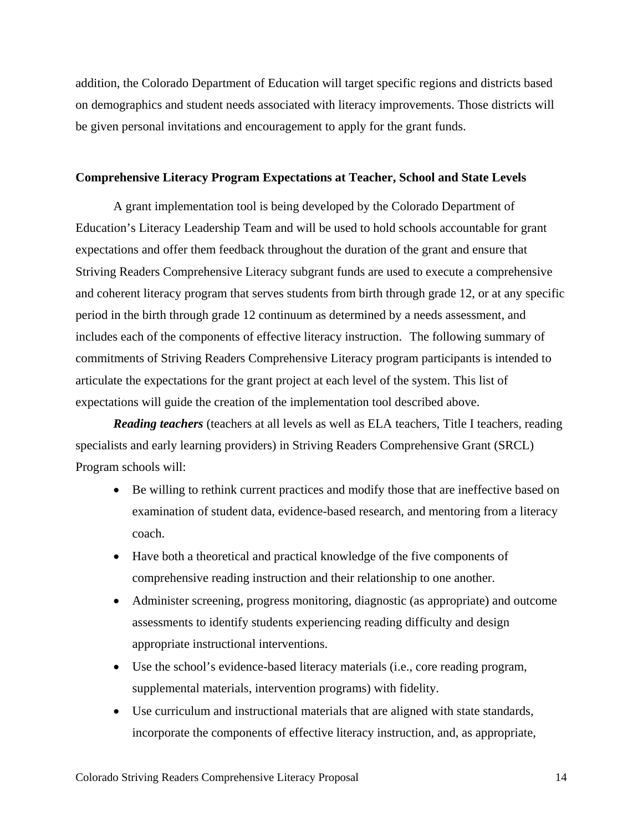addition, the Colorado Department of Education will target specific regions and districts based on demographics and student needs associated with literacy improvements. Those districts will be given personal invitations and encouragement to apply for the grant funds.

#### **Comprehensive Literacy Program Expectations at Teacher, School and State Levels**

 A grant implementation tool is being developed by the Colorado Department of Education's Literacy Leadership Team and will be used to hold schools accountable for grant expectations and offer them feedback throughout the duration of the grant and ensure that Striving Readers Comprehensive Literacy subgrant funds are used to execute a comprehensive and coherent literacy program that serves students from birth through grade 12, or at any specific period in the birth through grade 12 continuum as determined by a needs assessment, and includes each of the components of effective literacy instruction. The following summary of commitments of Striving Readers Comprehensive Literacy program participants is intended to articulate the expectations for the grant project at each level of the system. This list of expectations will guide the creation of the implementation tool described above.

 *Reading teachers* (teachers at all levels as well as ELA teachers, Title I teachers, reading specialists and early learning providers) in Striving Readers Comprehensive Grant (SRCL) Program schools will:

- Be willing to rethink current practices and modify those that are ineffective based on examination of student data, evidence-based research, and mentoring from a literacy coach.
- Have both a theoretical and practical knowledge of the five components of comprehensive reading instruction and their relationship to one another.
- Administer screening, progress monitoring, diagnostic (as appropriate) and outcome assessments to identify students experiencing reading difficulty and design appropriate instructional interventions.
- Use the school's evidence-based literacy materials (i.e., core reading program, supplemental materials, intervention programs) with fidelity.
- Use curriculum and instructional materials that are aligned with state standards, incorporate the components of effective literacy instruction, and, as appropriate,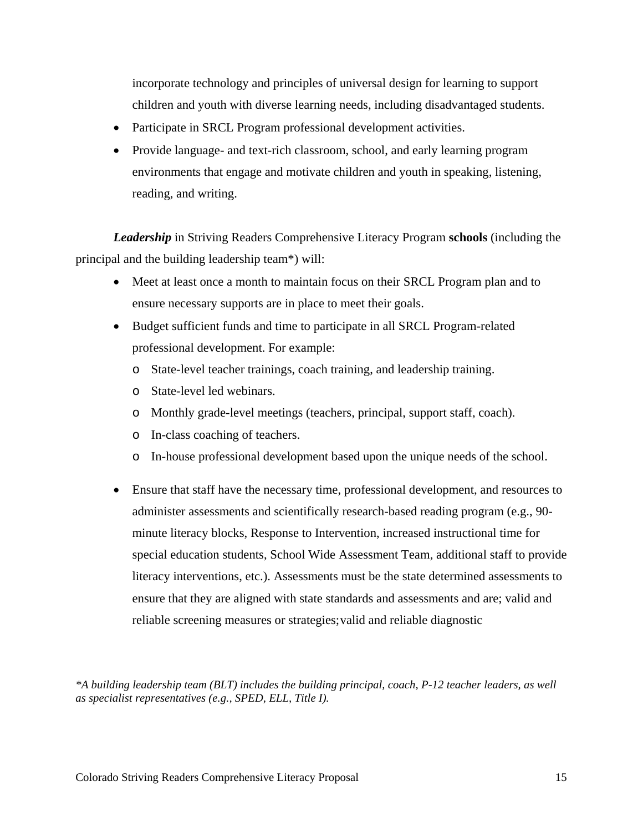incorporate technology and principles of universal design for learning to support children and youth with diverse learning needs, including disadvantaged students.

- Participate in SRCL Program professional development activities.
- Provide language- and text-rich classroom, school, and early learning program environments that engage and motivate children and youth in speaking, listening, reading, and writing.

*Leadership* in Striving Readers Comprehensive Literacy Program **schools** (including the principal and the building leadership team\*) will:

- Meet at least once a month to maintain focus on their SRCL Program plan and to ensure necessary supports are in place to meet their goals.
- Budget sufficient funds and time to participate in all SRCL Program-related professional development. For example:
	- o State-level teacher trainings, coach training, and leadership training.
	- o State-level led webinars.
	- o Monthly grade-level meetings (teachers, principal, support staff, coach).
	- o In-class coaching of teachers.
	- o In-house professional development based upon the unique needs of the school.
- Ensure that staff have the necessary time, professional development, and resources to administer assessments and scientifically research-based reading program (e.g., 90 minute literacy blocks, Response to Intervention, increased instructional time for special education students, School Wide Assessment Team, additional staff to provide literacy interventions, etc.). Assessments must be the state determined assessments to ensure that they are aligned with state standards and assessments and are; valid and reliable screening measures or strategies; valid and reliable diagnostic

*\*A building leadership team (BLT) includes the building principal, coach, P-12 teacher leaders, as well as specialist representatives (e.g., SPED, ELL, Title I).*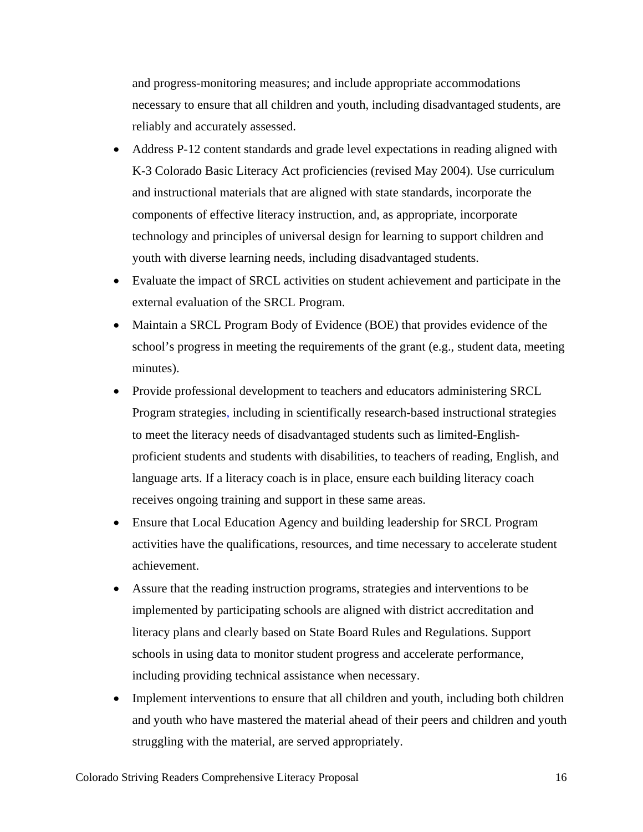and progress-monitoring measures; and include appropriate accommodations necessary to ensure that all children and youth, including disadvantaged students, are reliably and accurately assessed.

- Address P-12 content standards and grade level expectations in reading aligned with K-3 Colorado Basic Literacy Act proficiencies (revised May 2004). Use curriculum and instructional materials that are aligned with state standards, incorporate the components of effective literacy instruction, and, as appropriate, incorporate technology and principles of universal design for learning to support children and youth with diverse learning needs, including disadvantaged students.
- Evaluate the impact of SRCL activities on student achievement and participate in the external evaluation of the SRCL Program.
- Maintain a SRCL Program Body of Evidence (BOE) that provides evidence of the school's progress in meeting the requirements of the grant (e.g., student data, meeting minutes).
- Provide professional development to teachers and educators administering SRCL Program strategies*,* including in scientifically research-based instructional strategies to meet the literacy needs of disadvantaged students such as limited-Englishproficient students and students with disabilities, to teachers of reading, English, and language arts. If a literacy coach is in place, ensure each building literacy coach receives ongoing training and support in these same areas.
- Ensure that Local Education Agency and building leadership for SRCL Program activities have the qualifications, resources, and time necessary to accelerate student achievement.
- Assure that the reading instruction programs, strategies and interventions to be implemented by participating schools are aligned with district accreditation and literacy plans and clearly based on State Board Rules and Regulations. Support schools in using data to monitor student progress and accelerate performance, including providing technical assistance when necessary.
- Implement interventions to ensure that all children and youth, including both children and youth who have mastered the material ahead of their peers and children and youth struggling with the material, are served appropriately.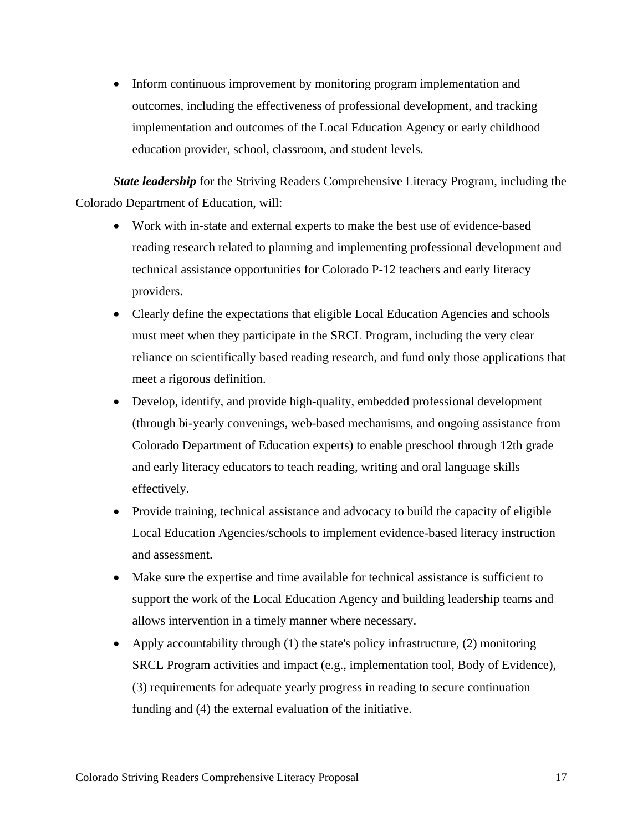Inform continuous improvement by monitoring program implementation and outcomes, including the effectiveness of professional development, and tracking implementation and outcomes of the Local Education Agency or early childhood education provider, school, classroom, and student levels.

*State leadership* for the Striving Readers Comprehensive Literacy Program, including the Colorado Department of Education, will:

- Work with in-state and external experts to make the best use of evidence-based reading research related to planning and implementing professional development and technical assistance opportunities for Colorado P-12 teachers and early literacy providers.
- Clearly define the expectations that eligible Local Education Agencies and schools must meet when they participate in the SRCL Program, including the very clear reliance on scientifically based reading research, and fund only those applications that meet a rigorous definition.
- Develop, identify, and provide high-quality, embedded professional development (through bi-yearly convenings, web-based mechanisms, and ongoing assistance from Colorado Department of Education experts) to enable preschool through 12th grade and early literacy educators to teach reading, writing and oral language skills effectively.
- Provide training, technical assistance and advocacy to build the capacity of eligible Local Education Agencies/schools to implement evidence-based literacy instruction and assessment.
- Make sure the expertise and time available for technical assistance is sufficient to support the work of the Local Education Agency and building leadership teams and allows intervention in a timely manner where necessary.
- Apply accountability through  $(1)$  the state's policy infrastructure,  $(2)$  monitoring SRCL Program activities and impact (e.g., implementation tool, Body of Evidence), (3) requirements for adequate yearly progress in reading to secure continuation funding and (4) the external evaluation of the initiative.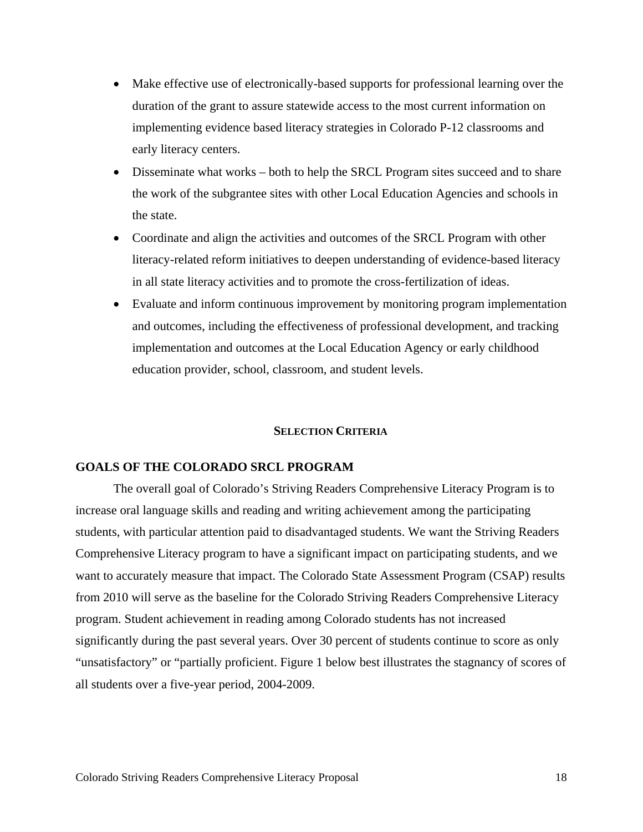- Make effective use of electronically-based supports for professional learning over the duration of the grant to assure statewide access to the most current information on implementing evidence based literacy strategies in Colorado P-12 classrooms and early literacy centers.
- Disseminate what works both to help the SRCL Program sites succeed and to share the work of the subgrantee sites with other Local Education Agencies and schools in the state.
- Coordinate and align the activities and outcomes of the SRCL Program with other literacy-related reform initiatives to deepen understanding of evidence-based literacy in all state literacy activities and to promote the cross-fertilization of ideas.
- Evaluate and inform continuous improvement by monitoring program implementation and outcomes, including the effectiveness of professional development, and tracking implementation and outcomes at the Local Education Agency or early childhood education provider, school, classroom, and student levels.

## **SELECTION CRITERIA**

## **GOALS OF THE COLORADO SRCL PROGRAM**

 The overall goal of Colorado's Striving Readers Comprehensive Literacy Program is to increase oral language skills and reading and writing achievement among the participating students, with particular attention paid to disadvantaged students. We want the Striving Readers Comprehensive Literacy program to have a significant impact on participating students, and we want to accurately measure that impact. The Colorado State Assessment Program (CSAP) results from 2010 will serve as the baseline for the Colorado Striving Readers Comprehensive Literacy program. Student achievement in reading among Colorado students has not increased significantly during the past several years. Over 30 percent of students continue to score as only "unsatisfactory" or "partially proficient. Figure 1 below best illustrates the stagnancy of scores of all students over a five-year period, 2004-2009.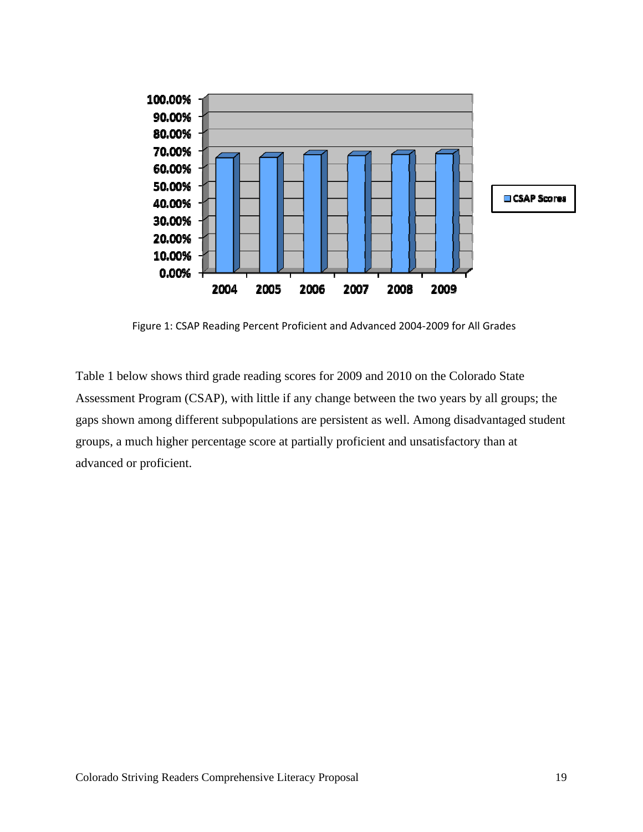

Figure 1: CSAP Reading Percent Proficient and Advanced 2004‐2009 for All Grades

Table 1 below shows third grade reading scores for 2009 and 2010 on the Colorado State Assessment Program (CSAP), with little if any change between the two years by all groups; the gaps shown among different subpopulations are persistent as well. Among disadvantaged student groups, a much higher percentage score at partially proficient and unsatisfactory than at advanced or proficient.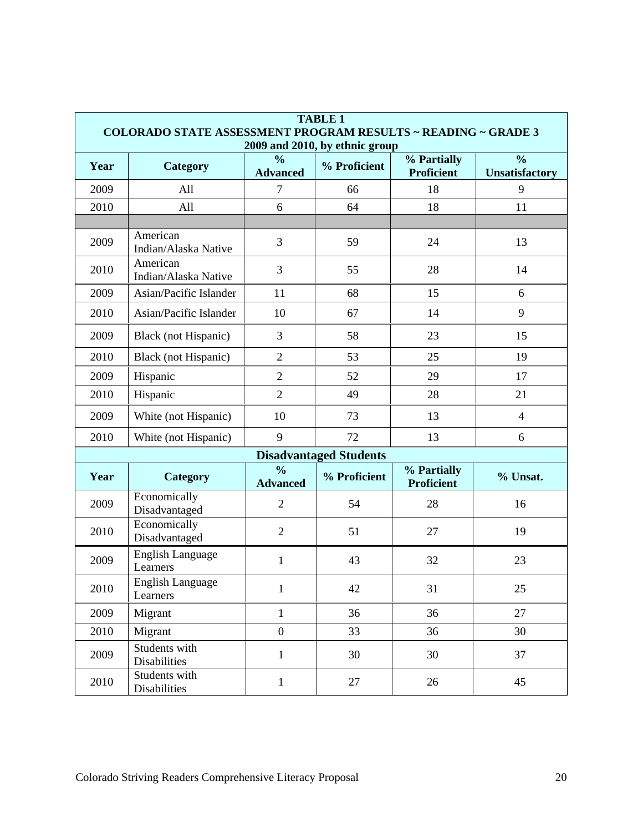| <b>TABLE 1</b><br><b>COLORADO STATE ASSESSMENT PROGRAM RESULTS ~ READING ~ GRADE 3</b><br>2009 and 2010, by ethnic group |                                      |                                  |                               |                                  |                                        |  |
|--------------------------------------------------------------------------------------------------------------------------|--------------------------------------|----------------------------------|-------------------------------|----------------------------------|----------------------------------------|--|
| Year                                                                                                                     | Category                             | $\frac{0}{0}$<br><b>Advanced</b> | % Proficient                  | % Partially<br><b>Proficient</b> | $\frac{0}{0}$<br><b>Unsatisfactory</b> |  |
| 2009                                                                                                                     | All                                  | $\overline{7}$                   | 66                            | 18                               | 9                                      |  |
| 2010                                                                                                                     | All                                  | 6                                | 64                            | 18                               | 11                                     |  |
| 2009                                                                                                                     | American<br>Indian/Alaska Native     | 3                                | 59                            | 24                               | 13                                     |  |
| 2010                                                                                                                     | American<br>Indian/Alaska Native     | 3                                | 55                            | 28                               | 14                                     |  |
| 2009                                                                                                                     | Asian/Pacific Islander               | 11                               | 68                            | 15                               | 6                                      |  |
| 2010                                                                                                                     | Asian/Pacific Islander               | 10                               | 67                            | 14                               | 9                                      |  |
| 2009                                                                                                                     | Black (not Hispanic)                 | 3                                | 58                            | 23                               | 15                                     |  |
| 2010                                                                                                                     | Black (not Hispanic)                 | $\overline{2}$                   | 53                            | 25                               | 19                                     |  |
| 2009                                                                                                                     | Hispanic                             | $\overline{2}$                   | 52                            | 29                               | 17                                     |  |
| 2010                                                                                                                     | Hispanic                             | $\overline{2}$                   | 49                            | 28                               | 21                                     |  |
| 2009                                                                                                                     | White (not Hispanic)                 | 10                               | 73                            | 13                               | $\overline{4}$                         |  |
| 2010                                                                                                                     | White (not Hispanic)                 | 9                                | 72                            | 13                               | 6                                      |  |
|                                                                                                                          |                                      |                                  | <b>Disadvantaged Students</b> |                                  |                                        |  |
| Year                                                                                                                     | Category                             | $\frac{0}{0}$<br><b>Advanced</b> | % Proficient                  | % Partially<br><b>Proficient</b> | % Unsat.                               |  |
| 2009                                                                                                                     | Economically<br>Disadvantaged        | $\overline{2}$                   | 54                            | 28                               | 16                                     |  |
| 2010                                                                                                                     | Economically<br>Disadvantaged        | $\overline{2}$                   | 51                            | 27                               | 19                                     |  |
| 2009                                                                                                                     | English Language<br>Learners         | $\mathbf{1}$                     | 43                            | 32                               | 23                                     |  |
| 2010                                                                                                                     | <b>English Language</b><br>Learners  | $\mathbf{1}$                     | 42                            | 31                               | 25                                     |  |
| 2009                                                                                                                     | Migrant                              | $\mathbf{1}$                     | 36                            | 36                               | 27                                     |  |
| 2010                                                                                                                     | Migrant                              | $\overline{0}$                   | 33                            | 36                               | 30                                     |  |
| 2009                                                                                                                     | Students with<br><b>Disabilities</b> | $\mathbf{1}$                     | 30                            | 30                               | 37                                     |  |
| 2010                                                                                                                     | Students with<br>Disabilities        | $\mathbf 1$                      | 27                            | 26                               | 45                                     |  |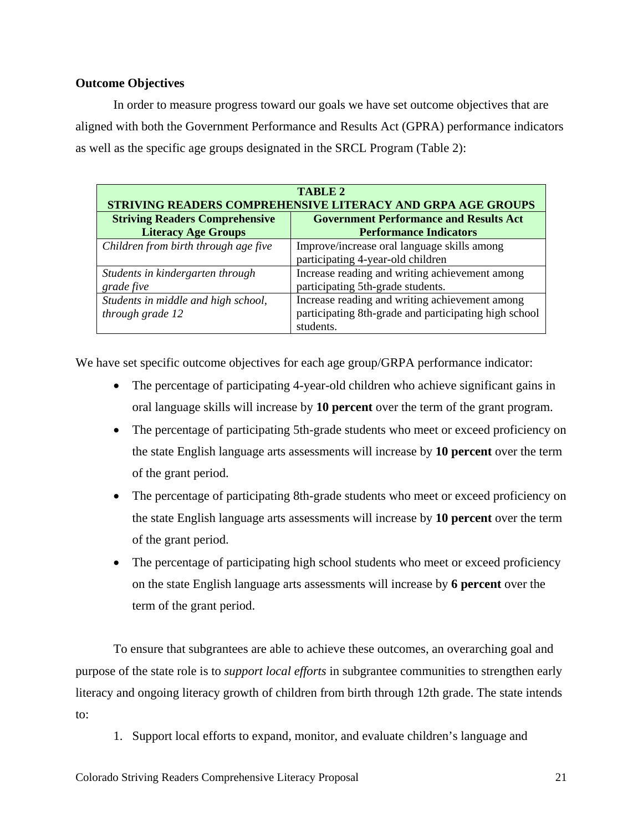## **Outcome Objectives**

 In order to measure progress toward our goals we have set outcome objectives that are aligned with both the Government Performance and Results Act (GPRA) performance indicators as well as the specific age groups designated in the SRCL Program (Table 2):

| TABLE 2<br><b>STRIVING READERS COMPREHENSIVE LITERACY AND GRPA AGE GROUPS</b> |                                                                                                                      |  |  |  |
|-------------------------------------------------------------------------------|----------------------------------------------------------------------------------------------------------------------|--|--|--|
| <b>Striving Readers Comprehensive</b><br><b>Literacy Age Groups</b>           | <b>Government Performance and Results Act</b><br><b>Performance Indicators</b>                                       |  |  |  |
| Children from birth through age five                                          | Improve/increase oral language skills among<br>participating 4-year-old children                                     |  |  |  |
| Students in kindergarten through<br>grade five                                | Increase reading and writing achievement among<br>participating 5th-grade students.                                  |  |  |  |
| Students in middle and high school,<br>through grade 12                       | Increase reading and writing achievement among<br>participating 8th-grade and participating high school<br>students. |  |  |  |

We have set specific outcome objectives for each age group/GRPA performance indicator:

- The percentage of participating 4-year-old children who achieve significant gains in oral language skills will increase by **10 percent** over the term of the grant program.
- The percentage of participating 5th-grade students who meet or exceed proficiency on the state English language arts assessments will increase by **10 percent** over the term of the grant period.
- The percentage of participating 8th-grade students who meet or exceed proficiency on the state English language arts assessments will increase by **10 percent** over the term of the grant period.
- The percentage of participating high school students who meet or exceed proficiency on the state English language arts assessments will increase by **6 percent** over the term of the grant period.

 To ensure that subgrantees are able to achieve these outcomes, an overarching goal and purpose of the state role is to *support local efforts* in subgrantee communities to strengthen early literacy and ongoing literacy growth of children from birth through 12th grade. The state intends to:

1. Support local efforts to expand, monitor, and evaluate children's language and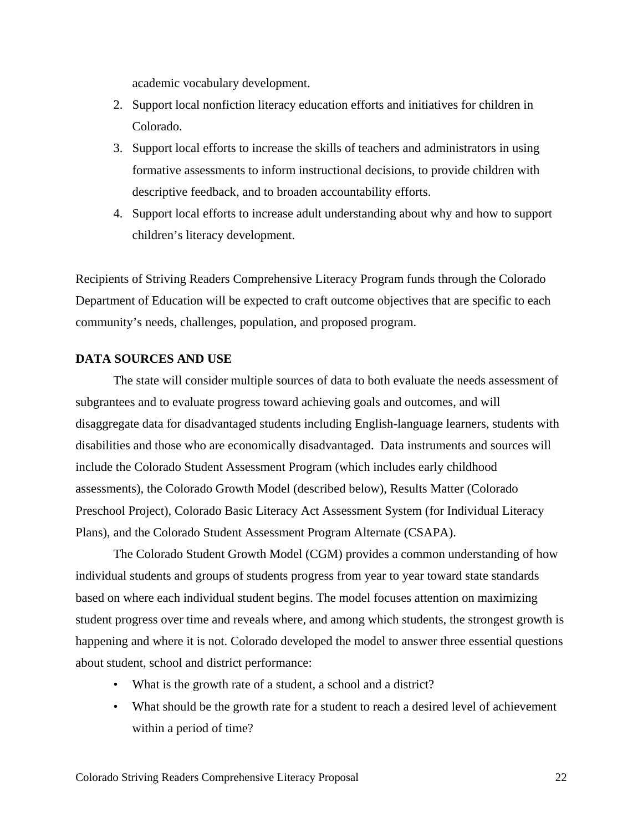academic vocabulary development.

- 2. Support local nonfiction literacy education efforts and initiatives for children in Colorado.
- 3. Support local efforts to increase the skills of teachers and administrators in using formative assessments to inform instructional decisions, to provide children with descriptive feedback, and to broaden accountability efforts.
- 4. Support local efforts to increase adult understanding about why and how to support children's literacy development.

Recipients of Striving Readers Comprehensive Literacy Program funds through the Colorado Department of Education will be expected to craft outcome objectives that are specific to each community's needs, challenges, population, and proposed program.

#### **DATA SOURCES AND USE**

 The state will consider multiple sources of data to both evaluate the needs assessment of subgrantees and to evaluate progress toward achieving goals and outcomes, and will disaggregate data for disadvantaged students including English-language learners, students with disabilities and those who are economically disadvantaged. Data instruments and sources will include the Colorado Student Assessment Program (which includes early childhood assessments), the Colorado Growth Model (described below), Results Matter (Colorado Preschool Project), Colorado Basic Literacy Act Assessment System (for Individual Literacy Plans), and the Colorado Student Assessment Program Alternate (CSAPA).

 The Colorado Student Growth Model (CGM) provides a common understanding of how individual students and groups of students progress from year to year toward state standards based on where each individual student begins. The model focuses attention on maximizing student progress over time and reveals where, and among which students, the strongest growth is happening and where it is not. Colorado developed the model to answer three essential questions about student, school and district performance:

- What is the growth rate of a student, a school and a district?
- What should be the growth rate for a student to reach a desired level of achievement within a period of time?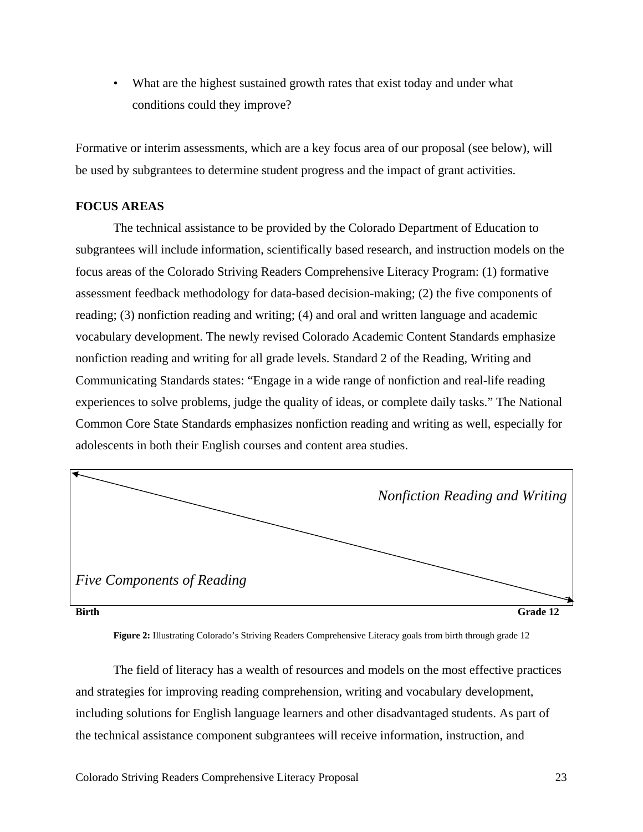• What are the highest sustained growth rates that exist today and under what conditions could they improve?

Formative or interim assessments, which are a key focus area of our proposal (see below), will be used by subgrantees to determine student progress and the impact of grant activities.

## **FOCUS AREAS**

 The technical assistance to be provided by the Colorado Department of Education to subgrantees will include information, scientifically based research, and instruction models on the focus areas of the Colorado Striving Readers Comprehensive Literacy Program: (1) formative assessment feedback methodology for data-based decision-making; (2) the five components of reading; (3) nonfiction reading and writing; (4) and oral and written language and academic vocabulary development. The newly revised Colorado Academic Content Standards emphasize nonfiction reading and writing for all grade levels. Standard 2 of the Reading, Writing and Communicating Standards states: "Engage in a wide range of nonfiction and real-life reading experiences to solve problems, judge the quality of ideas, or complete daily tasks." The National Common Core State Standards emphasizes nonfiction reading and writing as well, especially for adolescents in both their English courses and content area studies.



**Figure 2:** Illustrating Colorado's Striving Readers Comprehensive Literacy goals from birth through grade 12

 The field of literacy has a wealth of resources and models on the most effective practices and strategies for improving reading comprehension, writing and vocabulary development, including solutions for English language learners and other disadvantaged students. As part of the technical assistance component subgrantees will receive information, instruction, and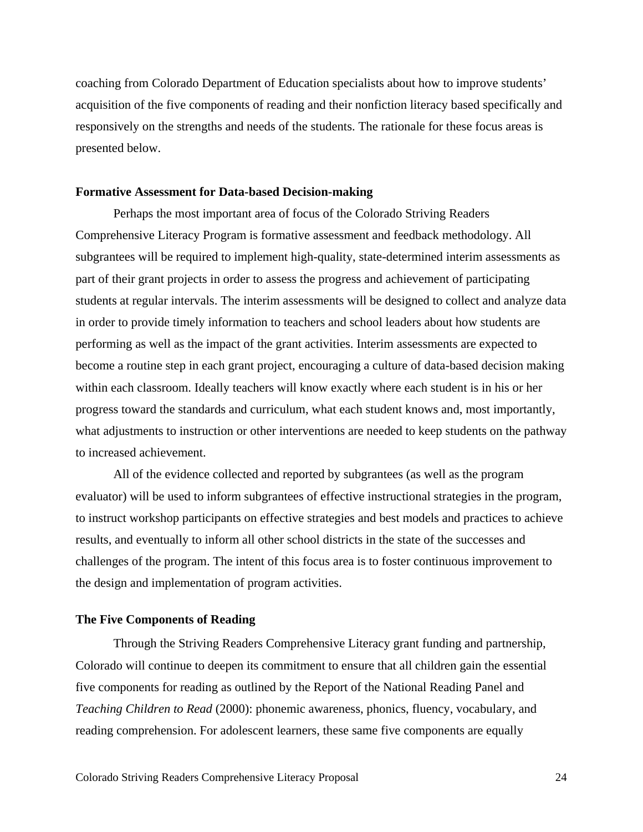coaching from Colorado Department of Education specialists about how to improve students' acquisition of the five components of reading and their nonfiction literacy based specifically and responsively on the strengths and needs of the students. The rationale for these focus areas is presented below.

#### **Formative Assessment for Data-based Decision-making**

 Perhaps the most important area of focus of the Colorado Striving Readers Comprehensive Literacy Program is formative assessment and feedback methodology. All subgrantees will be required to implement high-quality, state-determined interim assessments as part of their grant projects in order to assess the progress and achievement of participating students at regular intervals. The interim assessments will be designed to collect and analyze data in order to provide timely information to teachers and school leaders about how students are performing as well as the impact of the grant activities. Interim assessments are expected to become a routine step in each grant project, encouraging a culture of data-based decision making within each classroom. Ideally teachers will know exactly where each student is in his or her progress toward the standards and curriculum, what each student knows and, most importantly, what adjustments to instruction or other interventions are needed to keep students on the pathway to increased achievement.

 All of the evidence collected and reported by subgrantees (as well as the program evaluator) will be used to inform subgrantees of effective instructional strategies in the program, to instruct workshop participants on effective strategies and best models and practices to achieve results, and eventually to inform all other school districts in the state of the successes and challenges of the program. The intent of this focus area is to foster continuous improvement to the design and implementation of program activities.

#### **The Five Components of Reading**

Through the Striving Readers Comprehensive Literacy grant funding and partnership, Colorado will continue to deepen its commitment to ensure that all children gain the essential five components for reading as outlined by the Report of the National Reading Panel and *Teaching Children to Read* (2000): phonemic awareness, phonics, fluency, vocabulary, and reading comprehension. For adolescent learners, these same five components are equally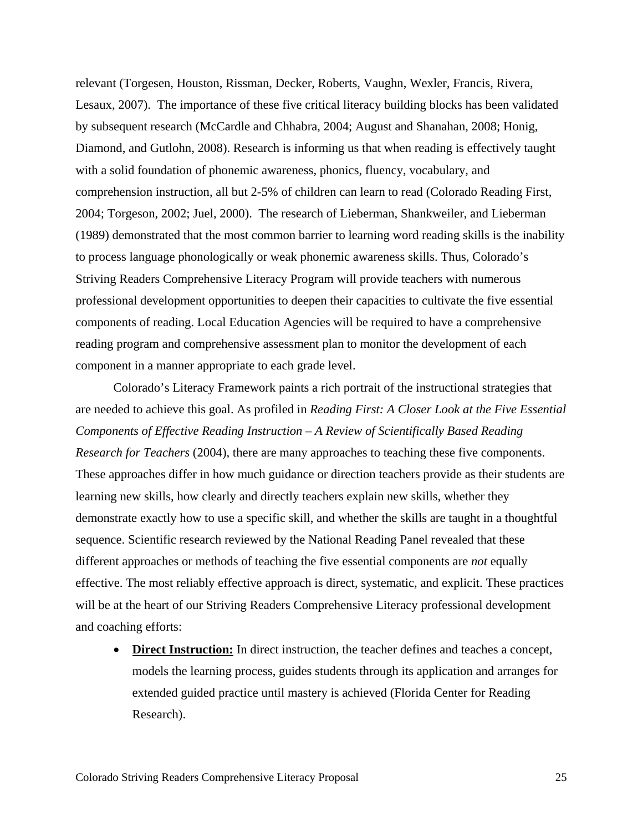relevant (Torgesen, Houston, Rissman, Decker, Roberts, Vaughn, Wexler, Francis, Rivera, Lesaux, 2007). The importance of these five critical literacy building blocks has been validated by subsequent research (McCardle and Chhabra, 2004; August and Shanahan, 2008; Honig, Diamond, and Gutlohn, 2008). Research is informing us that when reading is effectively taught with a solid foundation of phonemic awareness, phonics, fluency, vocabulary, and comprehension instruction, all but 2-5% of children can learn to read (Colorado Reading First, 2004; Torgeson, 2002; Juel, 2000). The research of Lieberman, Shankweiler, and Lieberman (1989) demonstrated that the most common barrier to learning word reading skills is the inability to process language phonologically or weak phonemic awareness skills. Thus, Colorado's Striving Readers Comprehensive Literacy Program will provide teachers with numerous professional development opportunities to deepen their capacities to cultivate the five essential components of reading. Local Education Agencies will be required to have a comprehensive reading program and comprehensive assessment plan to monitor the development of each component in a manner appropriate to each grade level.

Colorado's Literacy Framework paints a rich portrait of the instructional strategies that are needed to achieve this goal. As profiled in *Reading First: A Closer Look at the Five Essential Components of Effective Reading Instruction – A Review of Scientifically Based Reading Research for Teachers* (2004), there are many approaches to teaching these five components. These approaches differ in how much guidance or direction teachers provide as their students are learning new skills, how clearly and directly teachers explain new skills, whether they demonstrate exactly how to use a specific skill, and whether the skills are taught in a thoughtful sequence. Scientific research reviewed by the National Reading Panel revealed that these different approaches or methods of teaching the five essential components are *not* equally effective. The most reliably effective approach is direct, systematic, and explicit. These practices will be at the heart of our Striving Readers Comprehensive Literacy professional development and coaching efforts:

 **Direct Instruction:** In direct instruction, the teacher defines and teaches a concept, models the learning process, guides students through its application and arranges for extended guided practice until mastery is achieved (Florida Center for Reading Research).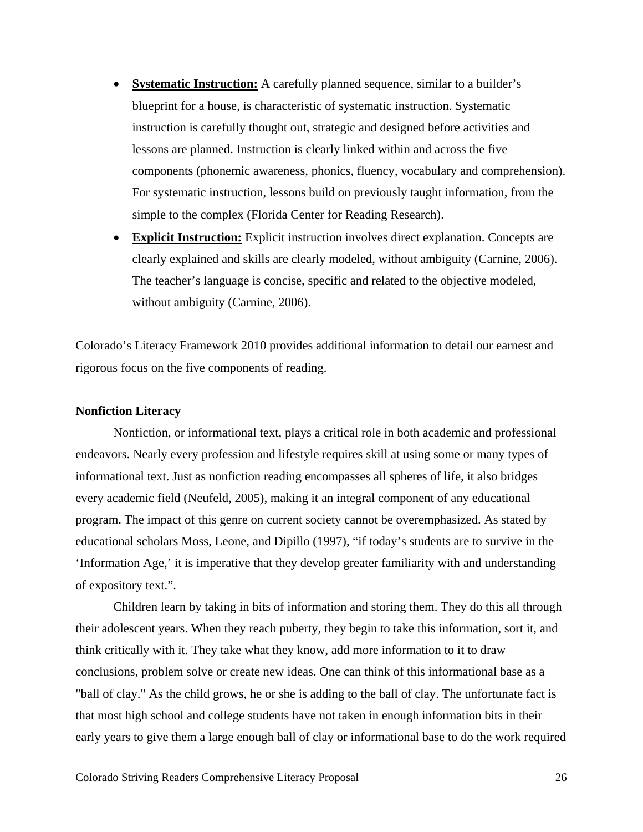- **Systematic Instruction:** A carefully planned sequence, similar to a builder's blueprint for a house, is characteristic of systematic instruction. Systematic instruction is carefully thought out, strategic and designed before activities and lessons are planned. Instruction is clearly linked within and across the five components (phonemic awareness, phonics, fluency, vocabulary and comprehension). For systematic instruction, lessons build on previously taught information, from the simple to the complex (Florida Center for Reading Research).
- **Explicit Instruction:** Explicit instruction involves direct explanation. Concepts are clearly explained and skills are clearly modeled, without ambiguity (Carnine, 2006). The teacher's language is concise, specific and related to the objective modeled, without ambiguity (Carnine, 2006).

Colorado's Literacy Framework 2010 provides additional information to detail our earnest and rigorous focus on the five components of reading.

#### **Nonfiction Literacy**

 Nonfiction, or informational text, plays a critical role in both academic and professional endeavors. Nearly every profession and lifestyle requires skill at using some or many types of informational text. Just as nonfiction reading encompasses all spheres of life, it also bridges every academic field (Neufeld, 2005), making it an integral component of any educational program. The impact of this genre on current society cannot be overemphasized. As stated by educational scholars Moss, Leone, and Dipillo (1997), "if today's students are to survive in the 'Information Age,' it is imperative that they develop greater familiarity with and understanding of expository text.".

 Children learn by taking in bits of information and storing them. They do this all through their adolescent years. When they reach puberty, they begin to take this information, sort it, and think critically with it. They take what they know, add more information to it to draw conclusions, problem solve or create new ideas. One can think of this informational base as a "ball of clay." As the child grows, he or she is adding to the ball of clay. The unfortunate fact is that most high school and college students have not taken in enough information bits in their early years to give them a large enough ball of clay or informational base to do the work required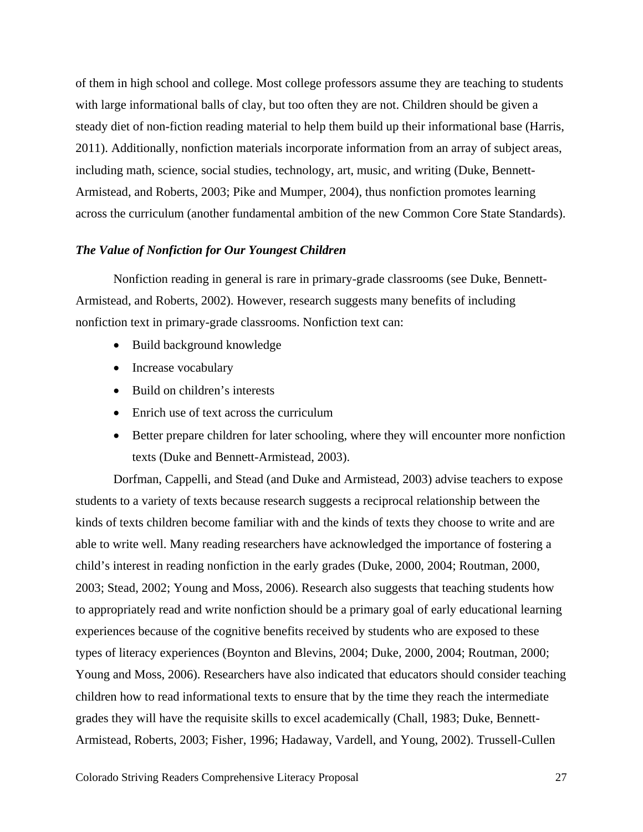of them in high school and college. Most college professors assume they are teaching to students with large informational balls of clay, but too often they are not. Children should be given a steady diet of non-fiction reading material to help them build up their informational base (Harris, 2011). Additionally, nonfiction materials incorporate information from an array of subject areas, including math, science, social studies, technology, art, music, and writing (Duke, Bennett-Armistead, and Roberts, 2003; Pike and Mumper, 2004), thus nonfiction promotes learning across the curriculum (another fundamental ambition of the new Common Core State Standards).

#### *The Value of Nonfiction for Our Youngest Children*

Nonfiction reading in general is rare in primary-grade classrooms (see Duke, Bennett-Armistead, and Roberts, 2002). However, research suggests many benefits of including nonfiction text in primary-grade classrooms. Nonfiction text can:

- Build background knowledge
- Increase vocabulary
- Build on children's interests
- Enrich use of text across the curriculum
- Better prepare children for later schooling, where they will encounter more nonfiction texts (Duke and Bennett-Armistead, 2003).

 Dorfman, Cappelli, and Stead (and Duke and Armistead, 2003) advise teachers to expose students to a variety of texts because research suggests a reciprocal relationship between the kinds of texts children become familiar with and the kinds of texts they choose to write and are able to write well. Many reading researchers have acknowledged the importance of fostering a child's interest in reading nonfiction in the early grades (Duke, 2000, 2004; Routman, 2000, 2003; Stead, 2002; Young and Moss, 2006). Research also suggests that teaching students how to appropriately read and write nonfiction should be a primary goal of early educational learning experiences because of the cognitive benefits received by students who are exposed to these types of literacy experiences (Boynton and Blevins, 2004; Duke, 2000, 2004; Routman, 2000; Young and Moss, 2006). Researchers have also indicated that educators should consider teaching children how to read informational texts to ensure that by the time they reach the intermediate grades they will have the requisite skills to excel academically (Chall, 1983; Duke, Bennett-Armistead, Roberts, 2003; Fisher, 1996; Hadaway, Vardell, and Young, 2002). Trussell-Cullen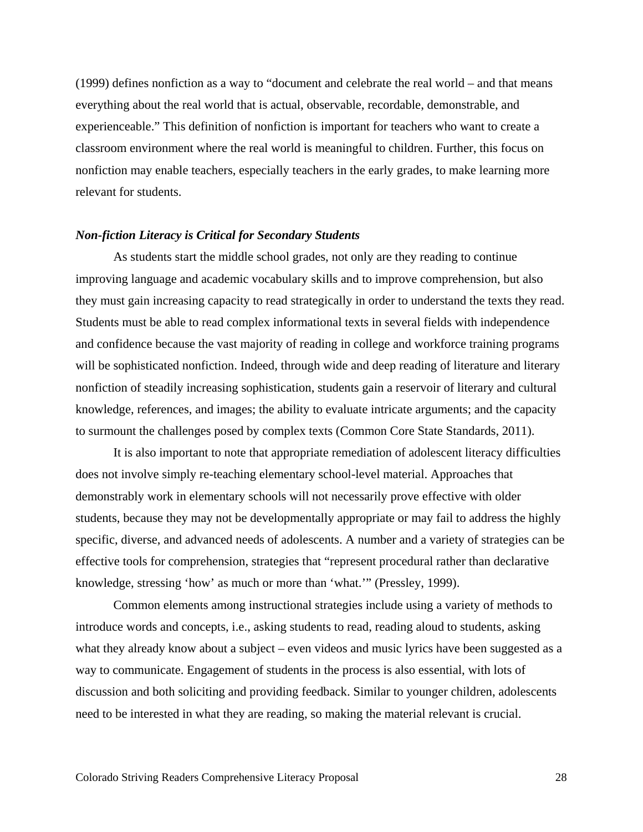(1999) defines nonfiction as a way to "document and celebrate the real world – and that means everything about the real world that is actual, observable, recordable, demonstrable, and experienceable." This definition of nonfiction is important for teachers who want to create a classroom environment where the real world is meaningful to children. Further, this focus on nonfiction may enable teachers, especially teachers in the early grades, to make learning more relevant for students.

#### *Non-fiction Literacy is Critical for Secondary Students*

 As students start the middle school grades, not only are they reading to continue improving language and academic vocabulary skills and to improve comprehension, but also they must gain increasing capacity to read strategically in order to understand the texts they read. Students must be able to read complex informational texts in several fields with independence and confidence because the vast majority of reading in college and workforce training programs will be sophisticated nonfiction. Indeed, through wide and deep reading of literature and literary nonfiction of steadily increasing sophistication, students gain a reservoir of literary and cultural knowledge, references, and images; the ability to evaluate intricate arguments; and the capacity to surmount the challenges posed by complex texts (Common Core State Standards, 2011).

It is also important to note that appropriate remediation of adolescent literacy difficulties does not involve simply re-teaching elementary school-level material. Approaches that demonstrably work in elementary schools will not necessarily prove effective with older students, because they may not be developmentally appropriate or may fail to address the highly specific, diverse, and advanced needs of adolescents. A number and a variety of strategies can be effective tools for comprehension, strategies that "represent procedural rather than declarative knowledge, stressing 'how' as much or more than 'what.'" (Pressley, 1999).

 Common elements among instructional strategies include using a variety of methods to introduce words and concepts, i.e., asking students to read, reading aloud to students, asking what they already know about a subject – even videos and music lyrics have been suggested as a way to communicate. Engagement of students in the process is also essential, with lots of discussion and both soliciting and providing feedback. Similar to younger children, adolescents need to be interested in what they are reading, so making the material relevant is crucial.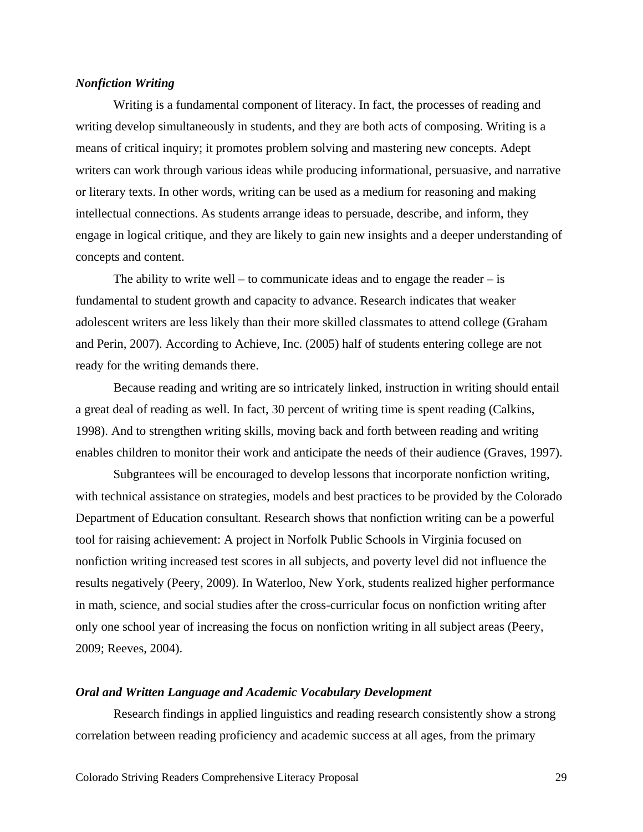#### *Nonfiction Writing*

 Writing is a fundamental component of literacy. In fact, the processes of reading and writing develop simultaneously in students, and they are both acts of composing. Writing is a means of critical inquiry; it promotes problem solving and mastering new concepts. Adept writers can work through various ideas while producing informational, persuasive, and narrative or literary texts. In other words, writing can be used as a medium for reasoning and making intellectual connections. As students arrange ideas to persuade, describe, and inform, they engage in logical critique, and they are likely to gain new insights and a deeper understanding of concepts and content.

The ability to write well – to communicate ideas and to engage the reader – is fundamental to student growth and capacity to advance. Research indicates that weaker adolescent writers are less likely than their more skilled classmates to attend college (Graham and Perin, 2007). According to Achieve, Inc. (2005) half of students entering college are not ready for the writing demands there.

 Because reading and writing are so intricately linked, instruction in writing should entail a great deal of reading as well. In fact, 30 percent of writing time is spent reading (Calkins, 1998). And to strengthen writing skills, moving back and forth between reading and writing enables children to monitor their work and anticipate the needs of their audience (Graves, 1997).

 Subgrantees will be encouraged to develop lessons that incorporate nonfiction writing, with technical assistance on strategies, models and best practices to be provided by the Colorado Department of Education consultant. Research shows that nonfiction writing can be a powerful tool for raising achievement: A project in Norfolk Public Schools in Virginia focused on nonfiction writing increased test scores in all subjects, and poverty level did not influence the results negatively (Peery, 2009). In Waterloo, New York, students realized higher performance in math, science, and social studies after the cross-curricular focus on nonfiction writing after only one school year of increasing the focus on nonfiction writing in all subject areas (Peery, 2009; Reeves, 2004).

#### *Oral and Written Language and Academic Vocabulary Development*

Research findings in applied linguistics and reading research consistently show a strong correlation between reading proficiency and academic success at all ages, from the primary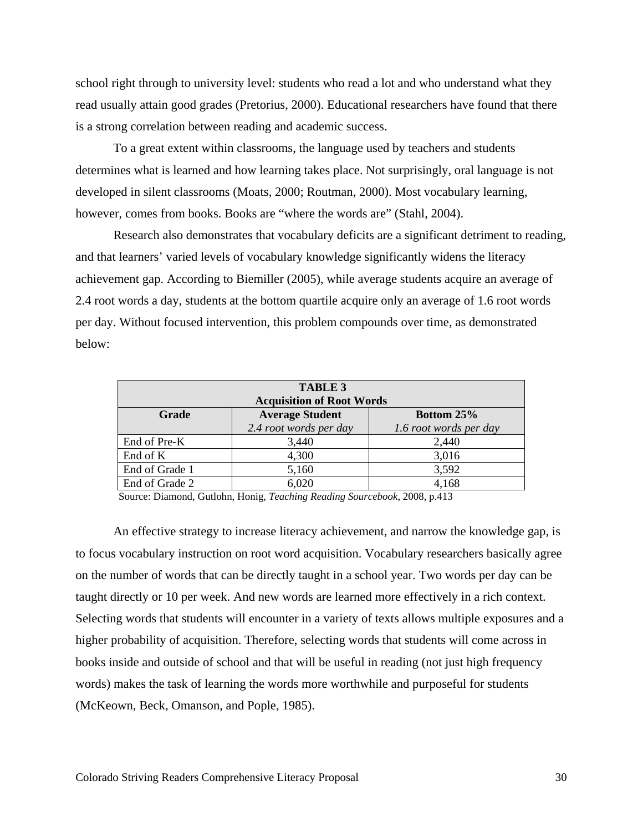school right through to university level: students who read a lot and who understand what they read usually attain good grades (Pretorius, 2000). Educational researchers have found that there is a strong correlation between reading and academic success.

 To a great extent within classrooms, the language used by teachers and students determines what is learned and how learning takes place. Not surprisingly, oral language is not developed in silent classrooms (Moats, 2000; Routman, 2000). Most vocabulary learning, however, comes from books. Books are "where the words are" (Stahl, 2004).

 Research also demonstrates that vocabulary deficits are a significant detriment to reading, and that learners' varied levels of vocabulary knowledge significantly widens the literacy achievement gap. According to Biemiller (2005), while average students acquire an average of 2.4 root words a day, students at the bottom quartile acquire only an average of 1.6 root words per day. Without focused intervention, this problem compounds over time, as demonstrated below:

| <b>TABLE 3</b><br><b>Acquisition of Root Words</b>   |                        |                        |  |  |  |  |
|------------------------------------------------------|------------------------|------------------------|--|--|--|--|
| Grade<br><b>Average Student</b><br><b>Bottom 25%</b> |                        |                        |  |  |  |  |
|                                                      | 2.4 root words per day | 1.6 root words per day |  |  |  |  |
| End of Pre-K                                         | 3,440                  | 2,440                  |  |  |  |  |
| End of K                                             | 4,300                  | 3,016                  |  |  |  |  |
| End of Grade 1                                       | 5,160                  | 3,592                  |  |  |  |  |
| End of Grade 2                                       | 6,020                  | 4,168                  |  |  |  |  |

Source: Diamond, Gutlohn, Honig, *Teaching Reading Sourcebook*, 2008, p.413

 An effective strategy to increase literacy achievement, and narrow the knowledge gap, is to focus vocabulary instruction on root word acquisition. Vocabulary researchers basically agree on the number of words that can be directly taught in a school year. Two words per day can be taught directly or 10 per week. And new words are learned more effectively in a rich context. Selecting words that students will encounter in a variety of texts allows multiple exposures and a higher probability of acquisition. Therefore, selecting words that students will come across in books inside and outside of school and that will be useful in reading (not just high frequency words) makes the task of learning the words more worthwhile and purposeful for students (McKeown, Beck, Omanson, and Pople, 1985).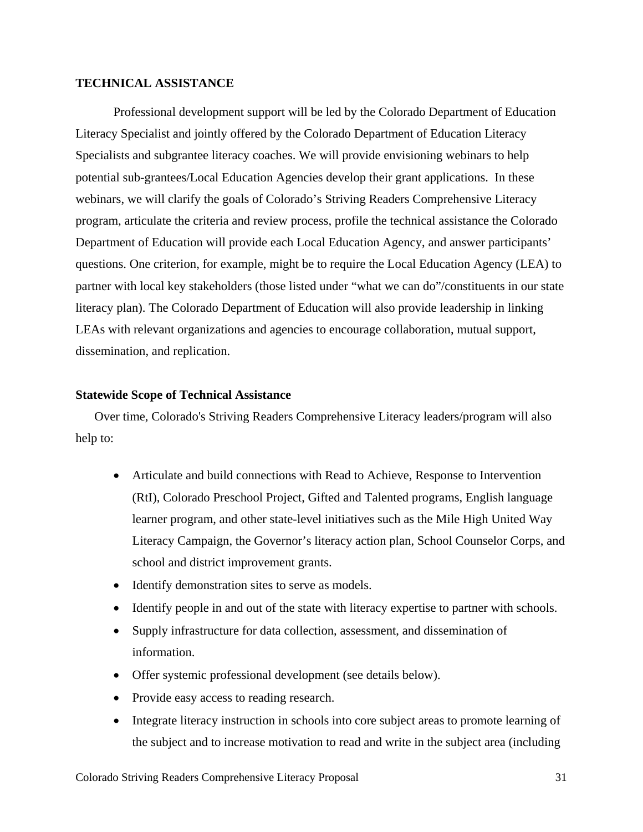## **TECHNICAL ASSISTANCE**

 Professional development support will be led by the Colorado Department of Education Literacy Specialist and jointly offered by the Colorado Department of Education Literacy Specialists and subgrantee literacy coaches. We will provide envisioning webinars to help potential sub-grantees/Local Education Agencies develop their grant applications. In these webinars, we will clarify the goals of Colorado's Striving Readers Comprehensive Literacy program, articulate the criteria and review process, profile the technical assistance the Colorado Department of Education will provide each Local Education Agency, and answer participants' questions. One criterion, for example, might be to require the Local Education Agency (LEA) to partner with local key stakeholders (those listed under "what we can do"/constituents in our state literacy plan). The Colorado Department of Education will also provide leadership in linking LEAs with relevant organizations and agencies to encourage collaboration, mutual support, dissemination, and replication.

## **Statewide Scope of Technical Assistance**

Over time, Colorado's Striving Readers Comprehensive Literacy leaders/program will also help to:

- Articulate and build connections with Read to Achieve, Response to Intervention (RtI), Colorado Preschool Project, Gifted and Talented programs, English language learner program, and other state-level initiatives such as the Mile High United Way Literacy Campaign, the Governor's literacy action plan, School Counselor Corps, and school and district improvement grants.
- Identify demonstration sites to serve as models.
- Identify people in and out of the state with literacy expertise to partner with schools.
- Supply infrastructure for data collection, assessment, and dissemination of information.
- Offer systemic professional development (see details below).
- Provide easy access to reading research.
- Integrate literacy instruction in schools into core subject areas to promote learning of the subject and to increase motivation to read and write in the subject area (including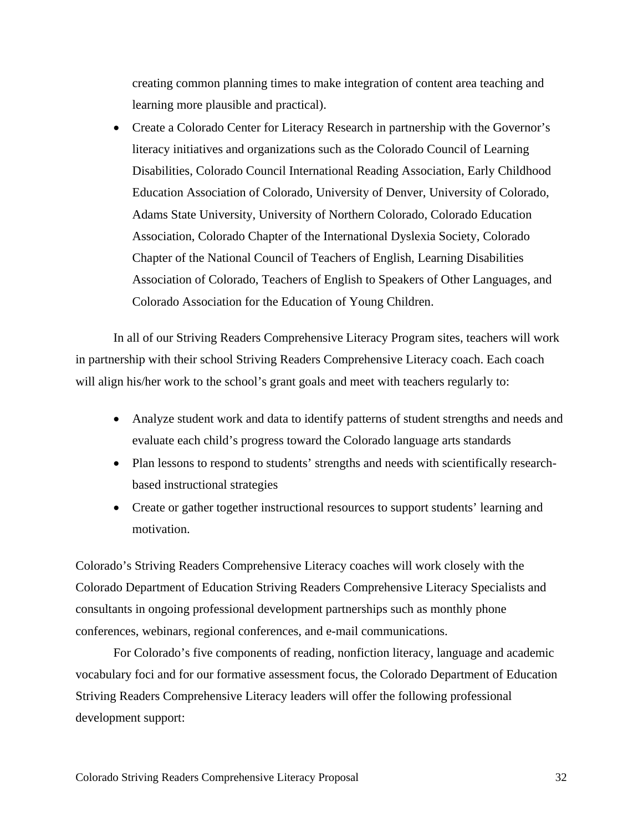creating common planning times to make integration of content area teaching and learning more plausible and practical).

• Create a Colorado Center for Literacy Research in partnership with the Governor's literacy initiatives and organizations such as the Colorado Council of Learning Disabilities, Colorado Council International Reading Association, Early Childhood Education Association of Colorado, University of Denver, University of Colorado, Adams State University, University of Northern Colorado, Colorado Education Association, Colorado Chapter of the International Dyslexia Society, Colorado Chapter of the National Council of Teachers of English, Learning Disabilities Association of Colorado, Teachers of English to Speakers of Other Languages, and Colorado Association for the Education of Young Children.

 In all of our Striving Readers Comprehensive Literacy Program sites, teachers will work in partnership with their school Striving Readers Comprehensive Literacy coach. Each coach will align his/her work to the school's grant goals and meet with teachers regularly to:

- Analyze student work and data to identify patterns of student strengths and needs and evaluate each child's progress toward the Colorado language arts standards
- Plan lessons to respond to students' strengths and needs with scientifically researchbased instructional strategies
- Create or gather together instructional resources to support students' learning and motivation.

Colorado's Striving Readers Comprehensive Literacy coaches will work closely with the Colorado Department of Education Striving Readers Comprehensive Literacy Specialists and consultants in ongoing professional development partnerships such as monthly phone conferences, webinars, regional conferences, and e-mail communications.

 For Colorado's five components of reading, nonfiction literacy, language and academic vocabulary foci and for our formative assessment focus, the Colorado Department of Education Striving Readers Comprehensive Literacy leaders will offer the following professional development support: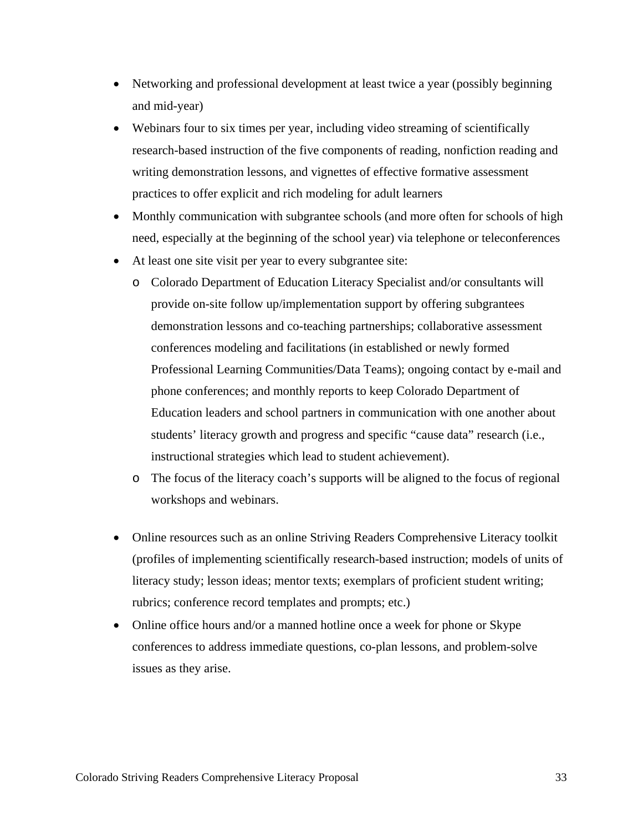- Networking and professional development at least twice a year (possibly beginning and mid-year)
- Webinars four to six times per year, including video streaming of scientifically research-based instruction of the five components of reading, nonfiction reading and writing demonstration lessons, and vignettes of effective formative assessment practices to offer explicit and rich modeling for adult learners
- Monthly communication with subgrantee schools (and more often for schools of high need, especially at the beginning of the school year) via telephone or teleconferences
- At least one site visit per year to every subgrantee site:
	- o Colorado Department of Education Literacy Specialist and/or consultants will provide on-site follow up/implementation support by offering subgrantees demonstration lessons and co-teaching partnerships; collaborative assessment conferences modeling and facilitations (in established or newly formed Professional Learning Communities/Data Teams); ongoing contact by e-mail and phone conferences; and monthly reports to keep Colorado Department of Education leaders and school partners in communication with one another about students' literacy growth and progress and specific "cause data" research (i.e., instructional strategies which lead to student achievement).
	- o The focus of the literacy coach's supports will be aligned to the focus of regional workshops and webinars.
- Online resources such as an online Striving Readers Comprehensive Literacy toolkit (profiles of implementing scientifically research-based instruction; models of units of literacy study; lesson ideas; mentor texts; exemplars of proficient student writing; rubrics; conference record templates and prompts; etc.)
- Online office hours and/or a manned hotline once a week for phone or Skype conferences to address immediate questions, co-plan lessons, and problem-solve issues as they arise.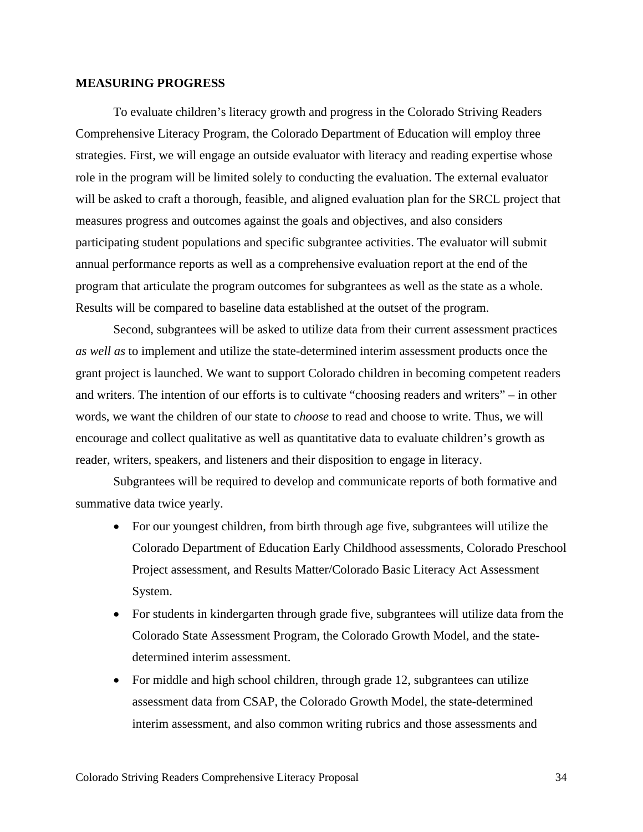#### **MEASURING PROGRESS**

 To evaluate children's literacy growth and progress in the Colorado Striving Readers Comprehensive Literacy Program, the Colorado Department of Education will employ three strategies. First, we will engage an outside evaluator with literacy and reading expertise whose role in the program will be limited solely to conducting the evaluation. The external evaluator will be asked to craft a thorough, feasible, and aligned evaluation plan for the SRCL project that measures progress and outcomes against the goals and objectives, and also considers participating student populations and specific subgrantee activities. The evaluator will submit annual performance reports as well as a comprehensive evaluation report at the end of the program that articulate the program outcomes for subgrantees as well as the state as a whole. Results will be compared to baseline data established at the outset of the program.

 Second, subgrantees will be asked to utilize data from their current assessment practices *as well as* to implement and utilize the state-determined interim assessment products once the grant project is launched. We want to support Colorado children in becoming competent readers and writers. The intention of our efforts is to cultivate "choosing readers and writers" – in other words, we want the children of our state to *choose* to read and choose to write. Thus, we will encourage and collect qualitative as well as quantitative data to evaluate children's growth as reader, writers, speakers, and listeners and their disposition to engage in literacy.

 Subgrantees will be required to develop and communicate reports of both formative and summative data twice yearly.

- For our youngest children, from birth through age five, subgrantees will utilize the Colorado Department of Education Early Childhood assessments, Colorado Preschool Project assessment, and Results Matter/Colorado Basic Literacy Act Assessment System.
- For students in kindergarten through grade five, subgrantees will utilize data from the Colorado State Assessment Program, the Colorado Growth Model, and the statedetermined interim assessment.
- For middle and high school children, through grade 12, subgrantees can utilize assessment data from CSAP, the Colorado Growth Model, the state-determined interim assessment, and also common writing rubrics and those assessments and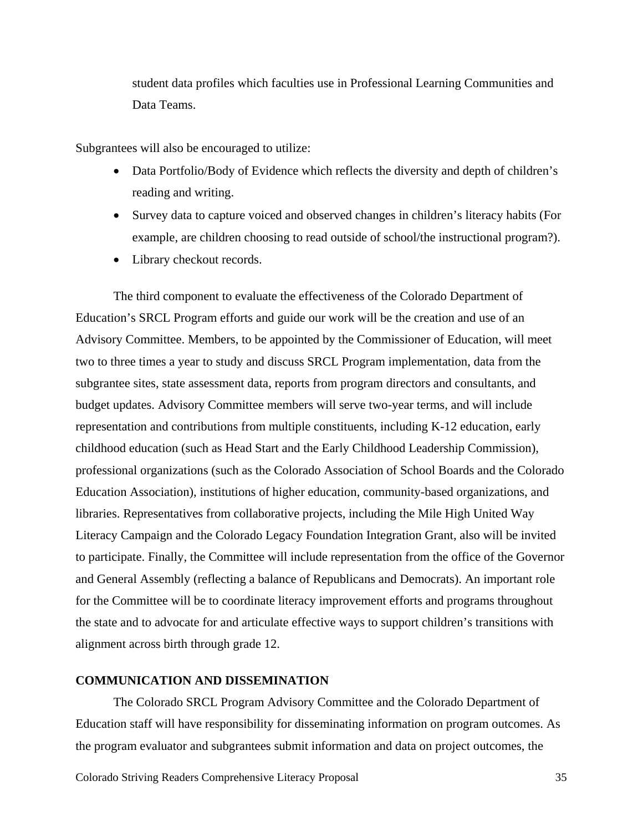student data profiles which faculties use in Professional Learning Communities and Data Teams.

Subgrantees will also be encouraged to utilize:

- Data Portfolio/Body of Evidence which reflects the diversity and depth of children's reading and writing.
- Survey data to capture voiced and observed changes in children's literacy habits (For example, are children choosing to read outside of school/the instructional program?).
- Library checkout records.

The third component to evaluate the effectiveness of the Colorado Department of Education's SRCL Program efforts and guide our work will be the creation and use of an Advisory Committee. Members, to be appointed by the Commissioner of Education, will meet two to three times a year to study and discuss SRCL Program implementation, data from the subgrantee sites, state assessment data, reports from program directors and consultants, and budget updates. Advisory Committee members will serve two-year terms, and will include representation and contributions from multiple constituents, including K-12 education, early childhood education (such as Head Start and the Early Childhood Leadership Commission), professional organizations (such as the Colorado Association of School Boards and the Colorado Education Association), institutions of higher education, community-based organizations, and libraries. Representatives from collaborative projects, including the Mile High United Way Literacy Campaign and the Colorado Legacy Foundation Integration Grant, also will be invited to participate. Finally, the Committee will include representation from the office of the Governor and General Assembly (reflecting a balance of Republicans and Democrats). An important role for the Committee will be to coordinate literacy improvement efforts and programs throughout the state and to advocate for and articulate effective ways to support children's transitions with alignment across birth through grade 12.

#### **COMMUNICATION AND DISSEMINATION**

 The Colorado SRCL Program Advisory Committee and the Colorado Department of Education staff will have responsibility for disseminating information on program outcomes. As the program evaluator and subgrantees submit information and data on project outcomes, the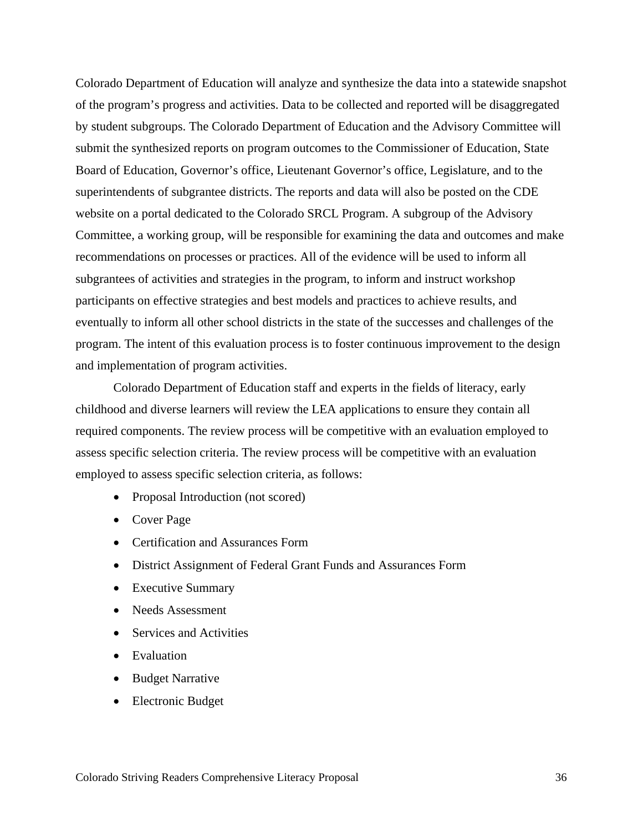Colorado Department of Education will analyze and synthesize the data into a statewide snapshot of the program's progress and activities. Data to be collected and reported will be disaggregated by student subgroups. The Colorado Department of Education and the Advisory Committee will submit the synthesized reports on program outcomes to the Commissioner of Education, State Board of Education, Governor's office, Lieutenant Governor's office, Legislature, and to the superintendents of subgrantee districts. The reports and data will also be posted on the CDE website on a portal dedicated to the Colorado SRCL Program. A subgroup of the Advisory Committee, a working group, will be responsible for examining the data and outcomes and make recommendations on processes or practices. All of the evidence will be used to inform all subgrantees of activities and strategies in the program, to inform and instruct workshop participants on effective strategies and best models and practices to achieve results, and eventually to inform all other school districts in the state of the successes and challenges of the program. The intent of this evaluation process is to foster continuous improvement to the design and implementation of program activities.

 Colorado Department of Education staff and experts in the fields of literacy, early childhood and diverse learners will review the LEA applications to ensure they contain all required components. The review process will be competitive with an evaluation employed to assess specific selection criteria. The review process will be competitive with an evaluation employed to assess specific selection criteria, as follows:

- Proposal Introduction (not scored)
- Cover Page
- Certification and Assurances Form
- District Assignment of Federal Grant Funds and Assurances Form
- Executive Summary
- Needs Assessment
- Services and Activities
- Evaluation
- Budget Narrative
- Electronic Budget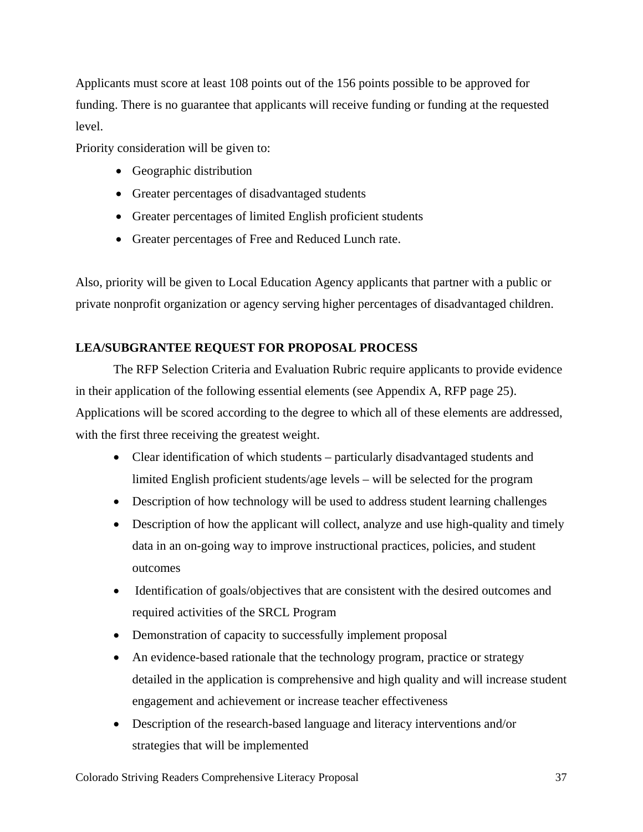Applicants must score at least 108 points out of the 156 points possible to be approved for funding. There is no guarantee that applicants will receive funding or funding at the requested level.

Priority consideration will be given to:

- Geographic distribution
- Greater percentages of disadvantaged students
- Greater percentages of limited English proficient students
- Greater percentages of Free and Reduced Lunch rate.

Also, priority will be given to Local Education Agency applicants that partner with a public or private nonprofit organization or agency serving higher percentages of disadvantaged children.

## **LEA/SUBGRANTEE REQUEST FOR PROPOSAL PROCESS**

 The RFP Selection Criteria and Evaluation Rubric require applicants to provide evidence in their application of the following essential elements (see Appendix A, RFP page 25). Applications will be scored according to the degree to which all of these elements are addressed, with the first three receiving the greatest weight.

- Clear identification of which students particularly disadvantaged students and limited English proficient students/age levels – will be selected for the program
- Description of how technology will be used to address student learning challenges
- Description of how the applicant will collect, analyze and use high-quality and timely data in an on-going way to improve instructional practices, policies, and student outcomes
- Identification of goals/objectives that are consistent with the desired outcomes and required activities of the SRCL Program
- Demonstration of capacity to successfully implement proposal
- An evidence-based rationale that the technology program, practice or strategy detailed in the application is comprehensive and high quality and will increase student engagement and achievement or increase teacher effectiveness
- Description of the research-based language and literacy interventions and/or strategies that will be implemented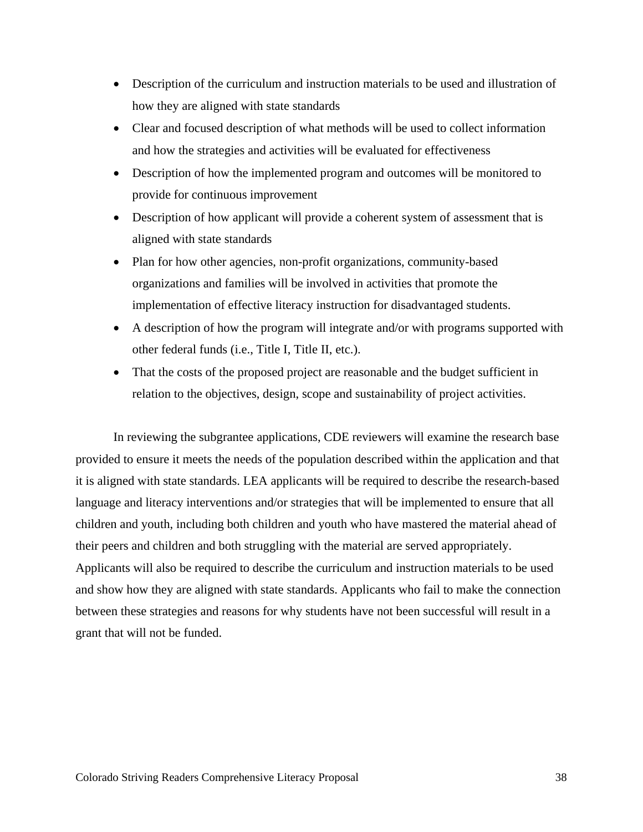- Description of the curriculum and instruction materials to be used and illustration of how they are aligned with state standards
- Clear and focused description of what methods will be used to collect information and how the strategies and activities will be evaluated for effectiveness
- Description of how the implemented program and outcomes will be monitored to provide for continuous improvement
- Description of how applicant will provide a coherent system of assessment that is aligned with state standards
- Plan for how other agencies, non-profit organizations, community-based organizations and families will be involved in activities that promote the implementation of effective literacy instruction for disadvantaged students.
- A description of how the program will integrate and/or with programs supported with other federal funds (i.e., Title I, Title II, etc.).
- That the costs of the proposed project are reasonable and the budget sufficient in relation to the objectives, design, scope and sustainability of project activities.

In reviewing the subgrantee applications, CDE reviewers will examine the research base provided to ensure it meets the needs of the population described within the application and that it is aligned with state standards. LEA applicants will be required to describe the research-based language and literacy interventions and/or strategies that will be implemented to ensure that all children and youth, including both children and youth who have mastered the material ahead of their peers and children and both struggling with the material are served appropriately. Applicants will also be required to describe the curriculum and instruction materials to be used and show how they are aligned with state standards. Applicants who fail to make the connection between these strategies and reasons for why students have not been successful will result in a grant that will not be funded.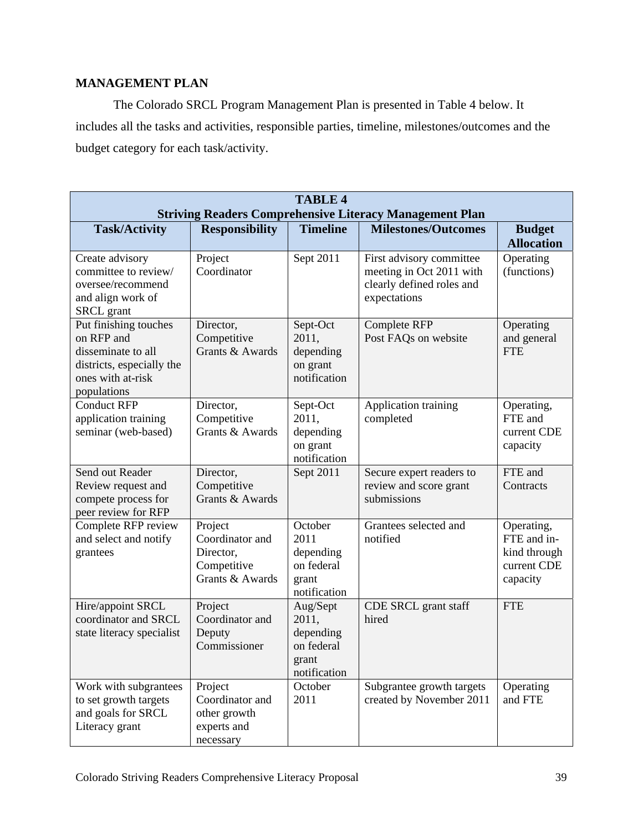## **MANAGEMENT PLAN**

The Colorado SRCL Program Management Plan is presented in Table 4 below. It includes all the tasks and activities, responsible parties, timeline, milestones/outcomes and the budget category for each task/activity.

| <b>TABLE 4</b><br><b>Striving Readers Comprehensive Literacy Management Plan</b>                                           |                                                                           |                                                                       |                                                                                                   |                                                                      |  |
|----------------------------------------------------------------------------------------------------------------------------|---------------------------------------------------------------------------|-----------------------------------------------------------------------|---------------------------------------------------------------------------------------------------|----------------------------------------------------------------------|--|
| <b>Task/Activity</b>                                                                                                       | <b>Responsibility</b>                                                     | <b>Timeline</b>                                                       | <b>Milestones/Outcomes</b>                                                                        | <b>Budget</b><br><b>Allocation</b>                                   |  |
| Create advisory<br>committee to review/<br>oversee/recommend<br>and align work of<br><b>SRCL</b> grant                     | Project<br>Coordinator                                                    | Sept 2011                                                             | First advisory committee<br>meeting in Oct 2011 with<br>clearly defined roles and<br>expectations | Operating<br>(functions)                                             |  |
| Put finishing touches<br>on RFP and<br>disseminate to all<br>districts, especially the<br>ones with at-risk<br>populations | Director,<br>Competitive<br>Grants & Awards                               | Sept-Oct<br>2011,<br>depending<br>on grant<br>notification            | <b>Complete RFP</b><br>Post FAQs on website                                                       | Operating<br>and general<br><b>FTE</b>                               |  |
| <b>Conduct RFP</b><br>application training<br>seminar (web-based)                                                          | Director,<br>Competitive<br>Grants & Awards                               | Sept-Oct<br>2011,<br>depending<br>on grant<br>notification            | Application training<br>completed                                                                 | Operating,<br>FTE and<br>current CDE<br>capacity                     |  |
| Send out Reader<br>Review request and<br>compete process for<br>peer review for RFP                                        | Director,<br>Competitive<br>Grants & Awards                               | Sept 2011                                                             | Secure expert readers to<br>review and score grant<br>submissions                                 | FTE and<br>Contracts                                                 |  |
| Complete RFP review<br>and select and notify<br>grantees                                                                   | Project<br>Coordinator and<br>Director,<br>Competitive<br>Grants & Awards | October<br>2011<br>depending<br>on federal<br>grant<br>notification   | Grantees selected and<br>notified                                                                 | Operating,<br>FTE and in-<br>kind through<br>current CDE<br>capacity |  |
| Hire/appoint SRCL<br>coordinator and SRCL<br>state literacy specialist                                                     | Project<br>Coordinator and<br>Deputy<br>Commissioner                      | Aug/Sept<br>2011,<br>depending<br>on federal<br>grant<br>notification | CDE SRCL grant staff<br>hired                                                                     | <b>FTE</b>                                                           |  |
| Work with subgrantees<br>to set growth targets<br>and goals for SRCL<br>Literacy grant                                     | Project<br>Coordinator and<br>other growth<br>experts and<br>necessary    | October<br>2011                                                       | Subgrantee growth targets<br>created by November 2011                                             | Operating<br>and FTE                                                 |  |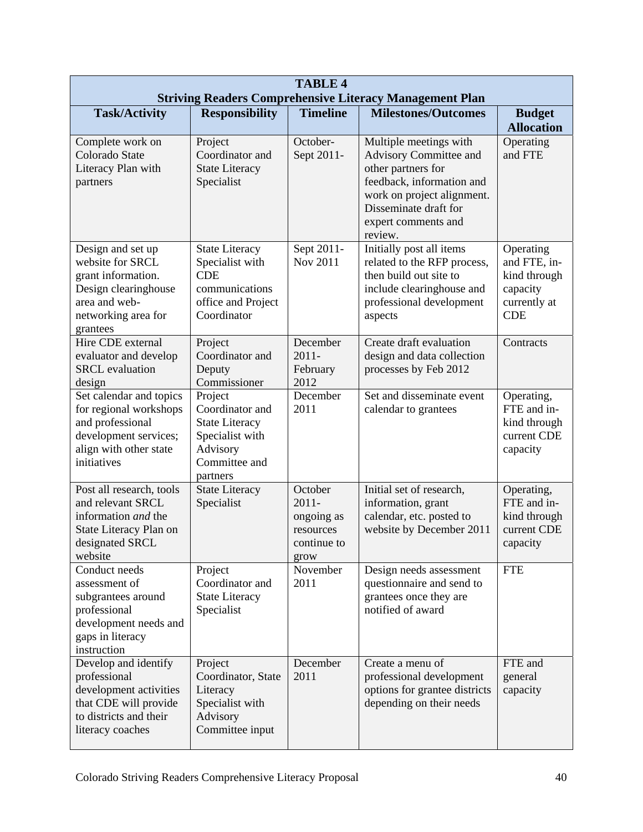| <b>TABLE 4</b><br><b>Striving Readers Comprehensive Literacy Management Plan</b>                                                        |                                                                                                                 |                                                                       |                                                                                                                                                                                              |                                                                                     |  |
|-----------------------------------------------------------------------------------------------------------------------------------------|-----------------------------------------------------------------------------------------------------------------|-----------------------------------------------------------------------|----------------------------------------------------------------------------------------------------------------------------------------------------------------------------------------------|-------------------------------------------------------------------------------------|--|
| <b>Task/Activity</b>                                                                                                                    | <b>Responsibility</b>                                                                                           | <b>Timeline</b>                                                       | <b>Milestones/Outcomes</b>                                                                                                                                                                   | <b>Budget</b><br><b>Allocation</b>                                                  |  |
| Complete work on<br>Colorado State<br>Literacy Plan with<br>partners                                                                    | Project<br>Coordinator and<br><b>State Literacy</b><br>Specialist                                               | October-<br>Sept 2011-                                                | Multiple meetings with<br>Advisory Committee and<br>other partners for<br>feedback, information and<br>work on project alignment.<br>Disseminate draft for<br>expert comments and<br>review. | Operating<br>and FTE                                                                |  |
| Design and set up<br>website for SRCL<br>grant information.<br>Design clearinghouse<br>area and web-<br>networking area for<br>grantees | <b>State Literacy</b><br>Specialist with<br><b>CDE</b><br>communications<br>office and Project<br>Coordinator   | Sept 2011-<br>Nov 2011                                                | Initially post all items<br>related to the RFP process,<br>then build out site to<br>include clearinghouse and<br>professional development<br>aspects                                        | Operating<br>and FTE, in-<br>kind through<br>capacity<br>currently at<br><b>CDE</b> |  |
| Hire CDE external<br>evaluator and develop<br><b>SRCL</b> evaluation<br>design                                                          | Project<br>Coordinator and<br>Deputy<br>Commissioner                                                            | December<br>$2011 -$<br>February<br>2012                              | Create draft evaluation<br>design and data collection<br>processes by Feb 2012                                                                                                               | Contracts                                                                           |  |
| Set calendar and topics<br>for regional workshops<br>and professional<br>development services;<br>align with other state<br>initiatives | Project<br>Coordinator and<br><b>State Literacy</b><br>Specialist with<br>Advisory<br>Committee and<br>partners | December<br>2011                                                      | Set and disseminate event<br>calendar to grantees                                                                                                                                            | Operating,<br>FTE and in-<br>kind through<br>current CDE<br>capacity                |  |
| Post all research, tools<br>and relevant SRCL<br>information and the<br>State Literacy Plan on<br>designated SRCL<br>website            | <b>State Literacy</b><br>Specialist                                                                             | October<br>$2011 -$<br>ongoing as<br>resources<br>continue to<br>grow | Initial set of research,<br>information, grant<br>calendar, etc. posted to<br>website by December 2011                                                                                       | Operating,<br>FTE and in-<br>kind through<br>current CDE<br>capacity                |  |
| Conduct needs<br>assessment of<br>subgrantees around<br>professional<br>development needs and<br>gaps in literacy<br>instruction        | Project<br>Coordinator and<br><b>State Literacy</b><br>Specialist                                               | November<br>2011                                                      | Design needs assessment<br>questionnaire and send to<br>grantees once they are<br>notified of award                                                                                          | <b>FTE</b>                                                                          |  |
| Develop and identify<br>professional<br>development activities<br>that CDE will provide<br>to districts and their<br>literacy coaches   | Project<br>Coordinator, State<br>Literacy<br>Specialist with<br>Advisory<br>Committee input                     | December<br>2011                                                      | Create a menu of<br>professional development<br>options for grantee districts<br>depending on their needs                                                                                    | FTE and<br>general<br>capacity                                                      |  |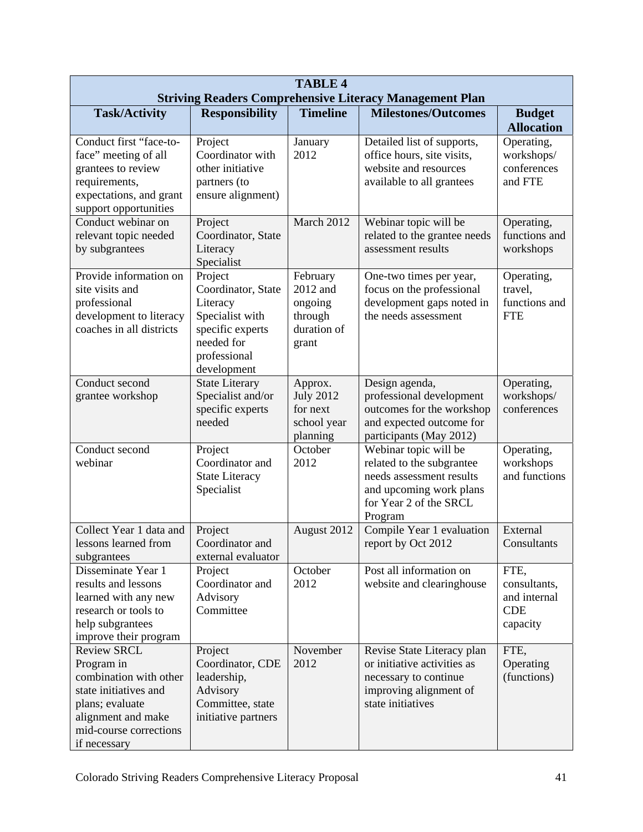| <b>TABLE 4</b>                                                                                                                                                         |                                                                                                                               |                                                                    |                                                                                                                                                |                                                                |  |
|------------------------------------------------------------------------------------------------------------------------------------------------------------------------|-------------------------------------------------------------------------------------------------------------------------------|--------------------------------------------------------------------|------------------------------------------------------------------------------------------------------------------------------------------------|----------------------------------------------------------------|--|
| <b>Striving Readers Comprehensive Literacy Management Plan</b>                                                                                                         |                                                                                                                               |                                                                    |                                                                                                                                                |                                                                |  |
| <b>Task/Activity</b>                                                                                                                                                   | <b>Responsibility</b>                                                                                                         | <b>Timeline</b>                                                    | <b>Milestones/Outcomes</b>                                                                                                                     | <b>Budget</b><br><b>Allocation</b>                             |  |
| Conduct first "face-to-<br>face" meeting of all<br>grantees to review<br>requirements,<br>expectations, and grant                                                      | Project<br>Coordinator with<br>other initiative<br>partners (to<br>ensure alignment)                                          | January<br>2012                                                    | Detailed list of supports,<br>office hours, site visits,<br>website and resources<br>available to all grantees                                 | Operating,<br>workshops/<br>conferences<br>and FTE             |  |
| support opportunities<br>Conduct webinar on<br>relevant topic needed<br>by subgrantees                                                                                 | Project<br>Coordinator, State<br>Literacy<br>Specialist                                                                       | March 2012                                                         | Webinar topic will be<br>related to the grantee needs<br>assessment results                                                                    | Operating,<br>functions and<br>workshops                       |  |
| Provide information on<br>site visits and<br>professional<br>development to literacy<br>coaches in all districts                                                       | Project<br>Coordinator, State<br>Literacy<br>Specialist with<br>specific experts<br>needed for<br>professional<br>development | February<br>2012 and<br>ongoing<br>through<br>duration of<br>grant | One-two times per year,<br>focus on the professional<br>development gaps noted in<br>the needs assessment                                      | Operating,<br>travel,<br>functions and<br><b>FTE</b>           |  |
| Conduct second<br>grantee workshop                                                                                                                                     | <b>State Literary</b><br>Specialist and/or<br>specific experts<br>needed                                                      | Approx.<br><b>July 2012</b><br>for next<br>school year<br>planning | Design agenda,<br>professional development<br>outcomes for the workshop<br>and expected outcome for<br>participants (May 2012)                 | Operating,<br>workshops/<br>conferences                        |  |
| Conduct second<br>webinar                                                                                                                                              | Project<br>Coordinator and<br><b>State Literacy</b><br>Specialist                                                             | October<br>2012                                                    | Webinar topic will be<br>related to the subgrantee<br>needs assessment results<br>and upcoming work plans<br>for Year 2 of the SRCL<br>Program | Operating,<br>workshops<br>and functions                       |  |
| Collect Year 1 data and<br>lessons learned from<br>subgrantees                                                                                                         | Project<br>Coordinator and<br>external evaluator                                                                              | August 2012                                                        | Compile Year 1 evaluation<br>report by Oct 2012                                                                                                | External<br>Consultants                                        |  |
| Disseminate Year 1<br>results and lessons<br>learned with any new<br>research or tools to<br>help subgrantees<br>improve their program                                 | Project<br>Coordinator and<br>Advisory<br>Committee                                                                           | October<br>2012                                                    | Post all information on<br>website and clearinghouse                                                                                           | FTE,<br>consultants,<br>and internal<br><b>CDE</b><br>capacity |  |
| <b>Review SRCL</b><br>Program in<br>combination with other<br>state initiatives and<br>plans; evaluate<br>alignment and make<br>mid-course corrections<br>if necessary | Project<br>Coordinator, CDE<br>leadership,<br>Advisory<br>Committee, state<br>initiative partners                             | November<br>2012                                                   | Revise State Literacy plan<br>or initiative activities as<br>necessary to continue<br>improving alignment of<br>state initiatives              | FTE,<br>Operating<br>(functions)                               |  |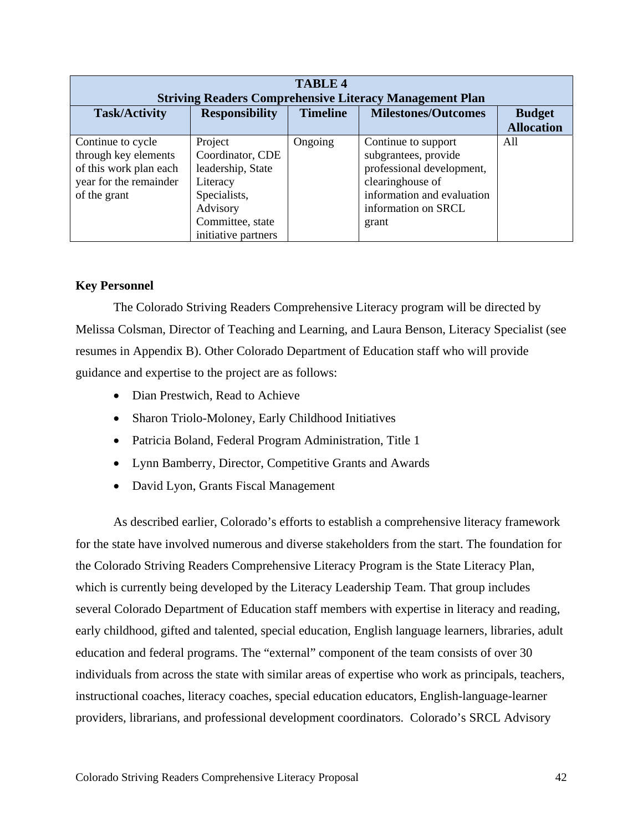| <b>TABLE 4</b><br><b>Striving Readers Comprehensive Literacy Management Plan</b>                              |                                                                                                                                     |                 |                                                                                                                                                            |                                    |  |
|---------------------------------------------------------------------------------------------------------------|-------------------------------------------------------------------------------------------------------------------------------------|-----------------|------------------------------------------------------------------------------------------------------------------------------------------------------------|------------------------------------|--|
| <b>Task/Activity</b>                                                                                          | <b>Responsibility</b>                                                                                                               | <b>Timeline</b> | <b>Milestones/Outcomes</b>                                                                                                                                 | <b>Budget</b><br><b>Allocation</b> |  |
| Continue to cycle<br>through key elements<br>of this work plan each<br>year for the remainder<br>of the grant | Project<br>Coordinator, CDE<br>leadership, State<br>Literacy<br>Specialists,<br>Advisory<br>Committee, state<br>initiative partners | Ongoing         | Continue to support<br>subgrantees, provide<br>professional development,<br>clearinghouse of<br>information and evaluation<br>information on SRCL<br>grant | All                                |  |

## **Key Personnel**

 The Colorado Striving Readers Comprehensive Literacy program will be directed by Melissa Colsman, Director of Teaching and Learning, and Laura Benson, Literacy Specialist (see resumes in Appendix B). Other Colorado Department of Education staff who will provide guidance and expertise to the project are as follows:

- Dian Prestwich, Read to Achieve
- Sharon Triolo-Moloney, Early Childhood Initiatives
- Patricia Boland, Federal Program Administration, Title 1
- Lynn Bamberry, Director, Competitive Grants and Awards
- David Lyon, Grants Fiscal Management

 As described earlier, Colorado's efforts to establish a comprehensive literacy framework for the state have involved numerous and diverse stakeholders from the start. The foundation for the Colorado Striving Readers Comprehensive Literacy Program is the State Literacy Plan, which is currently being developed by the Literacy Leadership Team. That group includes several Colorado Department of Education staff members with expertise in literacy and reading, early childhood, gifted and talented, special education, English language learners, libraries, adult education and federal programs. The "external" component of the team consists of over 30 individuals from across the state with similar areas of expertise who work as principals, teachers, instructional coaches, literacy coaches, special education educators, English-language-learner providers, librarians, and professional development coordinators. Colorado's SRCL Advisory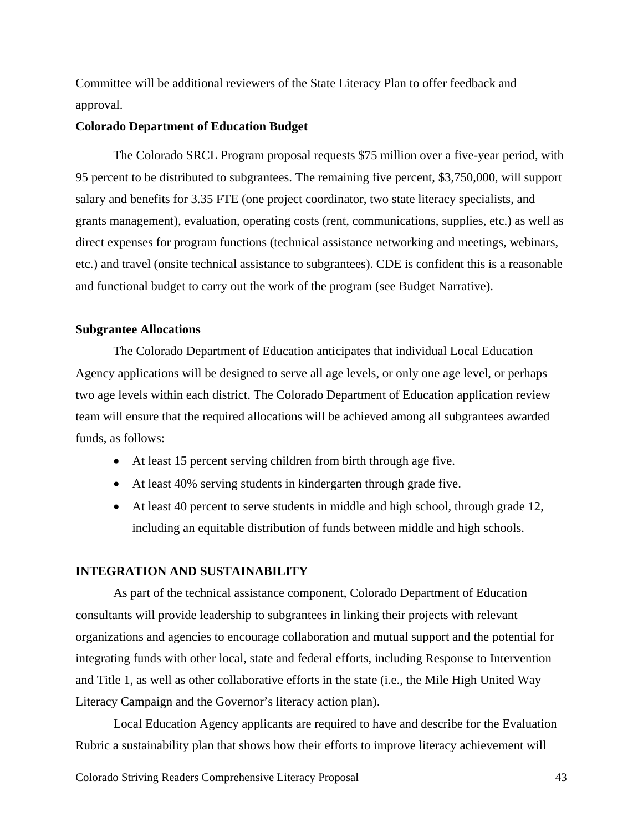Committee will be additional reviewers of the State Literacy Plan to offer feedback and approval.

#### **Colorado Department of Education Budget**

The Colorado SRCL Program proposal requests \$75 million over a five-year period, with 95 percent to be distributed to subgrantees. The remaining five percent, \$3,750,000, will support salary and benefits for 3.35 FTE (one project coordinator, two state literacy specialists, and grants management), evaluation, operating costs (rent, communications, supplies, etc.) as well as direct expenses for program functions (technical assistance networking and meetings, webinars, etc.) and travel (onsite technical assistance to subgrantees). CDE is confident this is a reasonable and functional budget to carry out the work of the program (see Budget Narrative).

#### **Subgrantee Allocations**

The Colorado Department of Education anticipates that individual Local Education Agency applications will be designed to serve all age levels, or only one age level, or perhaps two age levels within each district. The Colorado Department of Education application review team will ensure that the required allocations will be achieved among all subgrantees awarded funds, as follows:

- At least 15 percent serving children from birth through age five.
- At least 40% serving students in kindergarten through grade five.
- At least 40 percent to serve students in middle and high school, through grade 12, including an equitable distribution of funds between middle and high schools.

#### **INTEGRATION AND SUSTAINABILITY**

As part of the technical assistance component, Colorado Department of Education consultants will provide leadership to subgrantees in linking their projects with relevant organizations and agencies to encourage collaboration and mutual support and the potential for integrating funds with other local, state and federal efforts, including Response to Intervention and Title 1, as well as other collaborative efforts in the state (i.e., the Mile High United Way Literacy Campaign and the Governor's literacy action plan).

 Local Education Agency applicants are required to have and describe for the Evaluation Rubric a sustainability plan that shows how their efforts to improve literacy achievement will